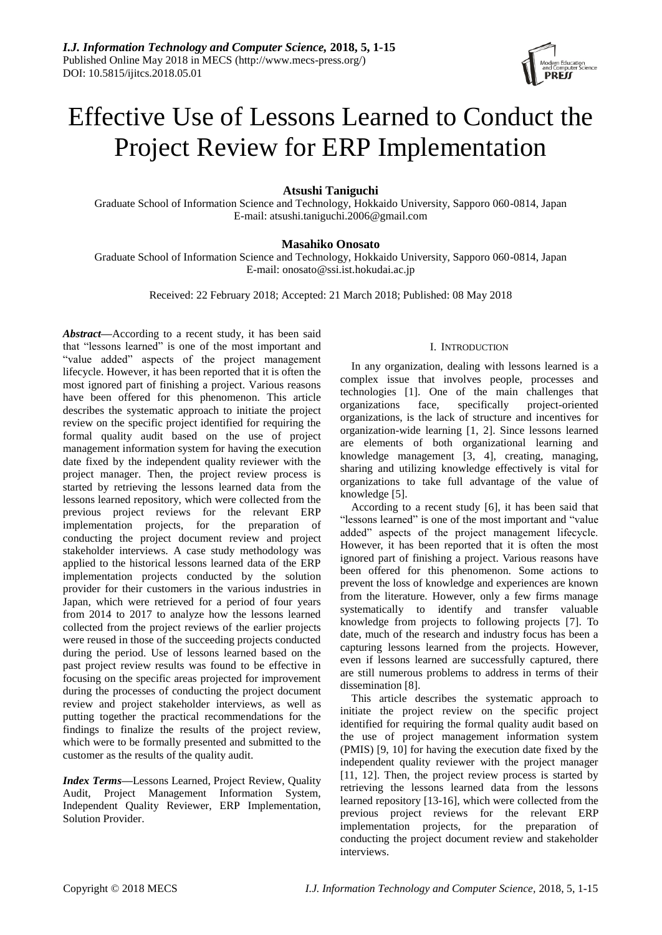

# Effective Use of Lessons Learned to Conduct the Project Review for ERP Implementation

**Atsushi Taniguchi**

Graduate School of Information Science and Technology, Hokkaido University, Sapporo 060-0814, Japan E-mail: atsushi.taniguchi.2006@gmail.com

## **Masahiko Onosato**

Graduate School of Information Science and Technology, Hokkaido University, Sapporo 060-0814, Japan E-mail: onosato@ssi.ist.hokudai.ac.jp

Received: 22 February 2018; Accepted: 21 March 2018; Published: 08 May 2018

*Abstract***—**According to a recent study, it has been said that "lessons learned" is one of the most important and "value added" aspects of the project management lifecycle. However, it has been reported that it is often the most ignored part of finishing a project. Various reasons have been offered for this phenomenon. This article describes the systematic approach to initiate the project review on the specific project identified for requiring the formal quality audit based on the use of project management information system for having the execution date fixed by the independent quality reviewer with the project manager. Then, the project review process is started by retrieving the lessons learned data from the lessons learned repository, which were collected from the previous project reviews for the relevant ERP implementation projects, for the preparation of conducting the project document review and project stakeholder interviews. A case study methodology was applied to the historical lessons learned data of the ERP implementation projects conducted by the solution provider for their customers in the various industries in Japan, which were retrieved for a period of four years from 2014 to 2017 to analyze how the lessons learned collected from the project reviews of the earlier projects were reused in those of the succeeding projects conducted during the period. Use of lessons learned based on the past project review results was found to be effective in focusing on the specific areas projected for improvement during the processes of conducting the project document review and project stakeholder interviews, as well as putting together the practical recommendations for the findings to finalize the results of the project review, which were to be formally presented and submitted to the customer as the results of the quality audit.

*Index Terms***—**Lessons Learned, Project Review, Quality Audit, Project Management Information System, Independent Quality Reviewer, ERP Implementation, Solution Provider.

## I. INTRODUCTION

In any organization, dealing with lessons learned is a complex issue that involves people, processes and technologies [1]. One of the main challenges that organizations face, specifically project-oriented organizations, is the lack of structure and incentives for organization-wide learning [1, 2]. Since lessons learned are elements of both organizational learning and knowledge management [3, 4], creating, managing, sharing and utilizing knowledge effectively is vital for organizations to take full advantage of the value of knowledge [5].

According to a recent study [6], it has been said that "lessons learned" is one of the most important and "value added" aspects of the project management lifecycle. However, it has been reported that it is often the most ignored part of finishing a project. Various reasons have been offered for this phenomenon. Some actions to prevent the loss of knowledge and experiences are known from the literature. However, only a few firms manage systematically to identify and transfer valuable knowledge from projects to following projects [7]. To date, much of the research and industry focus has been a capturing lessons learned from the projects. However, even if lessons learned are successfully captured, there are still numerous problems to address in terms of their dissemination [8].

This article describes the systematic approach to initiate the project review on the specific project identified for requiring the formal quality audit based on the use of project management information system (PMIS) [9, 10] for having the execution date fixed by the independent quality reviewer with the project manager [11, 12]. Then, the project review process is started by retrieving the lessons learned data from the lessons learned repository [13-16], which were collected from the previous project reviews for the relevant ERP implementation projects, for the preparation of conducting the project document review and stakeholder interviews.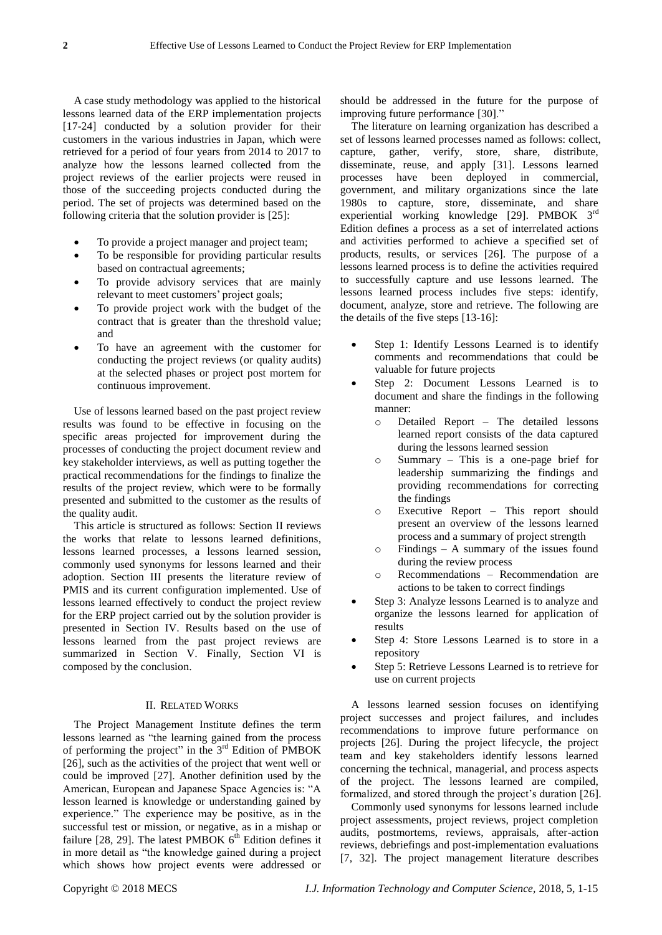A case study methodology was applied to the historical lessons learned data of the ERP implementation projects [17-24] conducted by a solution provider for their customers in the various industries in Japan, which were retrieved for a period of four years from 2014 to 2017 to analyze how the lessons learned collected from the project reviews of the earlier projects were reused in those of the succeeding projects conducted during the period. The set of projects was determined based on the following criteria that the solution provider is [25]:

- To provide a project manager and project team;
- To be responsible for providing particular results based on contractual agreements;
- To provide advisory services that are mainly relevant to meet customers' project goals;
- To provide project work with the budget of the contract that is greater than the threshold value; and
- To have an agreement with the customer for conducting the project reviews (or quality audits) at the selected phases or project post mortem for continuous improvement.

Use of lessons learned based on the past project review results was found to be effective in focusing on the specific areas projected for improvement during the processes of conducting the project document review and key stakeholder interviews, as well as putting together the practical recommendations for the findings to finalize the results of the project review, which were to be formally presented and submitted to the customer as the results of the quality audit.

This article is structured as follows: Section II reviews the works that relate to lessons learned definitions, lessons learned processes, a lessons learned session, commonly used synonyms for lessons learned and their adoption. Section III presents the literature review of PMIS and its current configuration implemented. Use of lessons learned effectively to conduct the project review for the ERP project carried out by the solution provider is presented in Section IV. Results based on the use of lessons learned from the past project reviews are summarized in Section V. Finally, Section VI is composed by the conclusion.

#### II. RELATED WORKS

The Project Management Institute defines the term lessons learned as "the learning gained from the process of performing the project" in the  $3<sup>rd</sup>$  Edition of PMBOK [26], such as the activities of the project that went well or could be improved [27]. Another definition used by the American, European and Japanese Space Agencies is: "A lesson learned is knowledge or understanding gained by experience." The experience may be positive, as in the successful test or mission, or negative, as in a mishap or failure [28, 29]. The latest PMBOK  $6<sup>th</sup>$  Edition defines it in more detail as "the knowledge gained during a project which shows how project events were addressed or

should be addressed in the future for the purpose of improving future performance [30]."

The literature on learning organization has described a set of lessons learned processes named as follows: collect, capture, gather, verify, store, share, distribute, disseminate, reuse, and apply [31]. Lessons learned processes have been deployed in commercial, government, and military organizations since the late 1980s to capture, store, disseminate, and share experiential working knowledge [29]. PMBOK 3rd Edition defines a process as a set of interrelated actions and activities performed to achieve a specified set of products, results, or services [26]. The purpose of a lessons learned process is to define the activities required to successfully capture and use lessons learned. The lessons learned process includes five steps: identify, document, analyze, store and retrieve. The following are the details of the five steps [13-16]:

- Step 1: Identify Lessons Learned is to identify comments and recommendations that could be valuable for future projects
- Step 2: Document Lessons Learned is to document and share the findings in the following manner:
	- o Detailed Report The detailed lessons learned report consists of the data captured during the lessons learned session
	- o Summary This is a one-page brief for leadership summarizing the findings and providing recommendations for correcting the findings
	- o Executive Report This report should present an overview of the lessons learned process and a summary of project strength
	- o Findings A summary of the issues found during the review process
	- o Recommendations Recommendation are actions to be taken to correct findings
- Step 3: Analyze lessons Learned is to analyze and organize the lessons learned for application of results
- Step 4: Store Lessons Learned is to store in a repository
- Step 5: Retrieve Lessons Learned is to retrieve for use on current projects

A lessons learned session focuses on identifying project successes and project failures, and includes recommendations to improve future performance on projects [26]. During the project lifecycle, the project team and key stakeholders identify lessons learned concerning the technical, managerial, and process aspects of the project. The lessons learned are compiled, formalized, and stored through the project's duration [26].

Commonly used synonyms for lessons learned include project assessments, project reviews, project completion audits, postmortems, reviews, appraisals, after-action reviews, debriefings and post-implementation evaluations [7, 32]. The project management literature describes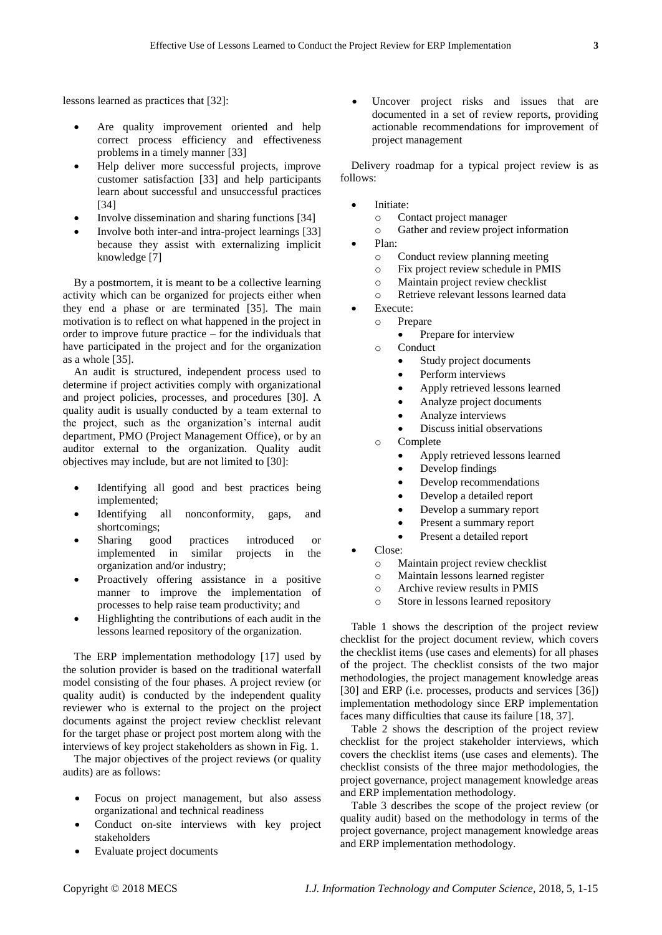lessons learned as practices that [32]:

- Are quality improvement oriented and help correct process efficiency and effectiveness problems in a timely manner [33]
- Help deliver more successful projects, improve customer satisfaction [33] and help participants learn about successful and unsuccessful practices [34]
- Involve dissemination and sharing functions [34]
- Involve both inter-and intra-project learnings [33] because they assist with externalizing implicit knowledge [7]

By a postmortem, it is meant to be a collective learning activity which can be organized for projects either when they end a phase or are terminated [35]. The main motivation is to reflect on what happened in the project in order to improve future practice – for the individuals that have participated in the project and for the organization as a whole [35].

An audit is structured, independent process used to determine if project activities comply with organizational and project policies, processes, and procedures [30]. A quality audit is usually conducted by a team external to the project, such as the organization's internal audit department, PMO (Project Management Office), or by an auditor external to the organization. Quality audit objectives may include, but are not limited to [30]:

- Identifying all good and best practices being implemented;
- Identifying all nonconformity, gaps, and shortcomings;
- Sharing good practices introduced or implemented in similar projects in the organization and/or industry;
- Proactively offering assistance in a positive manner to improve the implementation of processes to help raise team productivity; and
- Highlighting the contributions of each audit in the lessons learned repository of the organization.

The ERP implementation methodology [17] used by the solution provider is based on the traditional waterfall model consisting of the four phases. A project review (or quality audit) is conducted by the independent quality reviewer who is external to the project on the project documents against the project review checklist relevant for the target phase or project post mortem along with the interviews of key project stakeholders as shown in Fig. 1.

The major objectives of the project reviews (or quality audits) are as follows:

- Focus on project management, but also assess organizational and technical readiness
- Conduct on-site interviews with key project stakeholders
- Evaluate project documents

 Uncover project risks and issues that are documented in a set of review reports, providing actionable recommendations for improvement of project management

Delivery roadmap for a typical project review is as follows:

- Initiate:
	- o Contact project manager
	- o Gather and review project information
- Plan:
	- o Conduct review planning meeting
	- o Fix project review schedule in PMIS
	- o Maintain project review checklist
	- o Retrieve relevant lessons learned data
- Execute:
	- o Prepare
		- Prepare for interview
	- o Conduct
		- Study project documents
		- Perform interviews
		- Apply retrieved lessons learned
		- Analyze project documents
		- Analyze interviews
		- Discuss initial observations
	- o Complete
		- Apply retrieved lessons learned
		- Develop findings
		- Develop recommendations
		- Develop a detailed report
		- Develop a summary report
		- Present a summary report
		- Present a detailed report
- Close:
	- o Maintain project review checklist
	- o Maintain lessons learned register
	- o Archive review results in PMIS
	- o Store in lessons learned repository

Table 1 shows the description of the project review checklist for the project document review, which covers the checklist items (use cases and elements) for all phases of the project. The checklist consists of the two major methodologies, the project management knowledge areas [30] and ERP (i.e. processes, products and services [36]) implementation methodology since ERP implementation faces many difficulties that cause its failure [18, 37].

Table 2 shows the description of the project review checklist for the project stakeholder interviews, which covers the checklist items (use cases and elements). The checklist consists of the three major methodologies, the project governance, project management knowledge areas and ERP implementation methodology.

Table 3 describes the scope of the project review (or quality audit) based on the methodology in terms of the project governance, project management knowledge areas and ERP implementation methodology.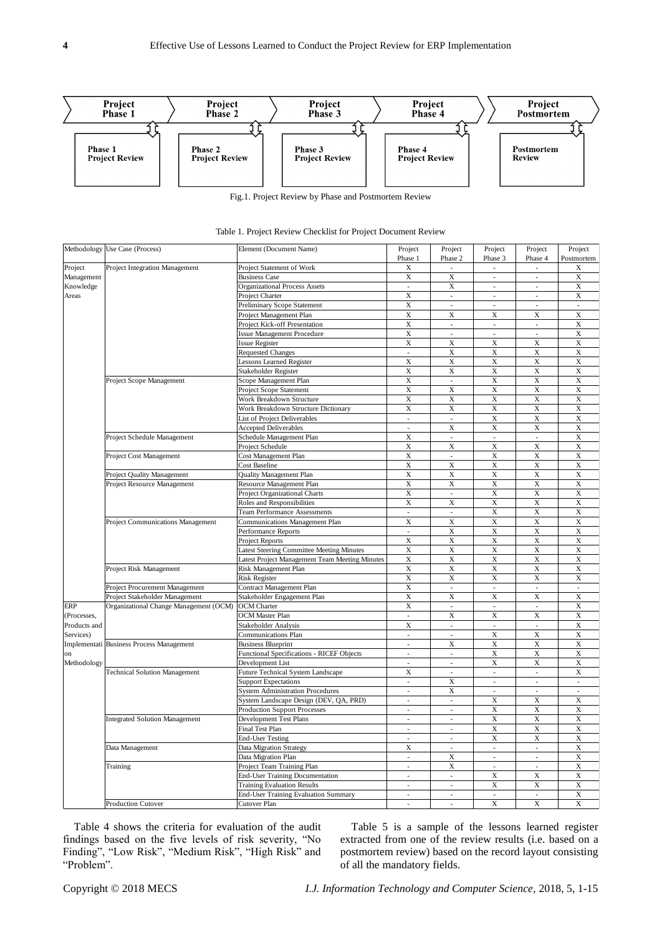

|              | Methodology Use Case (Process)           | Element (Document Name)                        | Project<br>Phase 1       | Project<br>Phase 2           | Project<br>Phase 3                                                                                                                                                                                                                                                                                                                                                                    | Project<br>Phase 4 | Project<br>Postmortem                                                                                                                                                                                                                                                                                                                                                                                                                                                                                                                                                                                                                                                                           |
|--------------|------------------------------------------|------------------------------------------------|--------------------------|------------------------------|---------------------------------------------------------------------------------------------------------------------------------------------------------------------------------------------------------------------------------------------------------------------------------------------------------------------------------------------------------------------------------------|--------------------|-------------------------------------------------------------------------------------------------------------------------------------------------------------------------------------------------------------------------------------------------------------------------------------------------------------------------------------------------------------------------------------------------------------------------------------------------------------------------------------------------------------------------------------------------------------------------------------------------------------------------------------------------------------------------------------------------|
| Project      | Project Integration Management           | Project Statement of Work                      | X                        |                              |                                                                                                                                                                                                                                                                                                                                                                                       |                    |                                                                                                                                                                                                                                                                                                                                                                                                                                                                                                                                                                                                                                                                                                 |
| Management   |                                          | <b>Business Case</b>                           | X                        | X                            | $\overline{\phantom{a}}$                                                                                                                                                                                                                                                                                                                                                              |                    |                                                                                                                                                                                                                                                                                                                                                                                                                                                                                                                                                                                                                                                                                                 |
| Knowledge    |                                          | <b>Organizational Process Assets</b>           | $\mathbb{Z}^2$           | X                            | $\overline{\phantom{a}}$                                                                                                                                                                                                                                                                                                                                                              |                    |                                                                                                                                                                                                                                                                                                                                                                                                                                                                                                                                                                                                                                                                                                 |
| Areas        |                                          | Project Charter                                | X                        | $\overline{\phantom{a}}$     | $\overline{\phantom{a}}$                                                                                                                                                                                                                                                                                                                                                              |                    |                                                                                                                                                                                                                                                                                                                                                                                                                                                                                                                                                                                                                                                                                                 |
|              |                                          | Preliminary Scope Statement                    | X                        | $\overline{\phantom{a}}$     | $\overline{\phantom{a}}$                                                                                                                                                                                                                                                                                                                                                              |                    |                                                                                                                                                                                                                                                                                                                                                                                                                                                                                                                                                                                                                                                                                                 |
|              |                                          | Project Management Plan                        | X                        | X                            | X                                                                                                                                                                                                                                                                                                                                                                                     |                    |                                                                                                                                                                                                                                                                                                                                                                                                                                                                                                                                                                                                                                                                                                 |
|              |                                          | Project Kick-off Presentation                  | X                        | $\overline{\phantom{a}}$     | $\overline{\phantom{a}}$                                                                                                                                                                                                                                                                                                                                                              |                    |                                                                                                                                                                                                                                                                                                                                                                                                                                                                                                                                                                                                                                                                                                 |
|              |                                          | <b>Issue Management Procedure</b>              | X                        | ÷,                           | J.                                                                                                                                                                                                                                                                                                                                                                                    |                    |                                                                                                                                                                                                                                                                                                                                                                                                                                                                                                                                                                                                                                                                                                 |
|              |                                          | <b>Issue Register</b>                          | X                        | X                            | X                                                                                                                                                                                                                                                                                                                                                                                     |                    |                                                                                                                                                                                                                                                                                                                                                                                                                                                                                                                                                                                                                                                                                                 |
|              |                                          | <b>Requested Changes</b>                       | $\overline{\phantom{a}}$ | X                            | X                                                                                                                                                                                                                                                                                                                                                                                     |                    |                                                                                                                                                                                                                                                                                                                                                                                                                                                                                                                                                                                                                                                                                                 |
|              |                                          | Lessons Learned Register                       | X                        | X                            | X                                                                                                                                                                                                                                                                                                                                                                                     |                    |                                                                                                                                                                                                                                                                                                                                                                                                                                                                                                                                                                                                                                                                                                 |
|              |                                          | Stakeholder Register                           | $\overline{X}$           | $\overline{\mathbf{X}}$      | $\overline{X}$                                                                                                                                                                                                                                                                                                                                                                        |                    |                                                                                                                                                                                                                                                                                                                                                                                                                                                                                                                                                                                                                                                                                                 |
|              | Project Scope Management                 | Scope Management Plan                          | X                        | $\overline{\phantom{a}}$     | X                                                                                                                                                                                                                                                                                                                                                                                     |                    |                                                                                                                                                                                                                                                                                                                                                                                                                                                                                                                                                                                                                                                                                                 |
|              |                                          | Project Scope Statement                        | $\mathbf X$              | X                            | X                                                                                                                                                                                                                                                                                                                                                                                     |                    |                                                                                                                                                                                                                                                                                                                                                                                                                                                                                                                                                                                                                                                                                                 |
|              |                                          | Work Breakdown Structure                       | X                        | X                            | X                                                                                                                                                                                                                                                                                                                                                                                     |                    |                                                                                                                                                                                                                                                                                                                                                                                                                                                                                                                                                                                                                                                                                                 |
|              |                                          | Work Breakdown Structure Dictionary            | X                        | X                            | X                                                                                                                                                                                                                                                                                                                                                                                     |                    |                                                                                                                                                                                                                                                                                                                                                                                                                                                                                                                                                                                                                                                                                                 |
|              |                                          | List of Project Deliverables                   | $\sim$                   | $\overline{\phantom{a}}$     | $\overline{X}$                                                                                                                                                                                                                                                                                                                                                                        |                    |                                                                                                                                                                                                                                                                                                                                                                                                                                                                                                                                                                                                                                                                                                 |
|              |                                          | <b>Accepted Deliverables</b>                   | ÷,                       | X                            | X                                                                                                                                                                                                                                                                                                                                                                                     |                    |                                                                                                                                                                                                                                                                                                                                                                                                                                                                                                                                                                                                                                                                                                 |
|              |                                          | Schedule Management Plan                       | X                        | $\overline{\phantom{a}}$     | $\overline{\phantom{a}}$                                                                                                                                                                                                                                                                                                                                                              |                    |                                                                                                                                                                                                                                                                                                                                                                                                                                                                                                                                                                                                                                                                                                 |
|              | Project Schedule Management              | Project Schedule                               | X                        | X                            | X                                                                                                                                                                                                                                                                                                                                                                                     |                    |                                                                                                                                                                                                                                                                                                                                                                                                                                                                                                                                                                                                                                                                                                 |
|              |                                          |                                                | X                        | ÷,                           |                                                                                                                                                                                                                                                                                                                                                                                       |                    |                                                                                                                                                                                                                                                                                                                                                                                                                                                                                                                                                                                                                                                                                                 |
|              | Project Cost Management                  | Cost Management Plan<br>Cost Baseline          | X                        | X                            |                                                                                                                                                                                                                                                                                                                                                                                       |                    |                                                                                                                                                                                                                                                                                                                                                                                                                                                                                                                                                                                                                                                                                                 |
|              |                                          |                                                |                          |                              |                                                                                                                                                                                                                                                                                                                                                                                       |                    |                                                                                                                                                                                                                                                                                                                                                                                                                                                                                                                                                                                                                                                                                                 |
|              | Project Quality Management               | <b>Quality Management Plan</b>                 | X<br>$\overline{X}$      | X<br>$\overline{\mathbf{X}}$ |                                                                                                                                                                                                                                                                                                                                                                                       |                    |                                                                                                                                                                                                                                                                                                                                                                                                                                                                                                                                                                                                                                                                                                 |
|              | Project Resource Management              | Resource Management Plan                       |                          |                              |                                                                                                                                                                                                                                                                                                                                                                                       |                    |                                                                                                                                                                                                                                                                                                                                                                                                                                                                                                                                                                                                                                                                                                 |
|              |                                          | Project Organizational Charts                  | X                        | $\overline{\phantom{a}}$     |                                                                                                                                                                                                                                                                                                                                                                                       |                    |                                                                                                                                                                                                                                                                                                                                                                                                                                                                                                                                                                                                                                                                                                 |
|              |                                          | Roles and Responsibilities                     | X                        | X                            |                                                                                                                                                                                                                                                                                                                                                                                       |                    |                                                                                                                                                                                                                                                                                                                                                                                                                                                                                                                                                                                                                                                                                                 |
|              |                                          | <b>Team Performance Assessments</b>            | $\sim$                   | $\overline{\phantom{a}}$     |                                                                                                                                                                                                                                                                                                                                                                                       |                    | X<br>$\mathbf X$<br>$\mathbf X$<br>$\mathbf X$<br>$\sim$<br>X<br>X<br>X<br>$\boldsymbol{\mathrm{X}}$<br>$\mathbf X$<br>$\mathbf X$<br>$\overline{\mathbf{X}}$<br>X<br>$\mathbf X$<br>$\mathbf X$<br>X<br>$\overline{X}$<br>X<br>X<br>X<br>$\boldsymbol{\mathrm{X}}$<br>$\mathbf X$<br>$\mathbf X$<br>$\overline{\mathbf{X}}$<br>X<br>$\mathbf X$<br>$\mathbf X$<br>X<br>$\overline{X}$<br>X<br>X<br>X<br>$\boldsymbol{\mathrm{X}}$<br>$\overline{X}$<br>÷,<br>$\overline{X}$<br>X<br>$\mathbf X$<br>$\mathbf X$<br>X<br>$\overline{X}$<br>X<br>X<br>X<br>÷,<br>÷,<br>$\mathbf X$<br>X<br>X<br>$\mathbf X$<br>$\mathbf X$<br>X<br>$\overline{X}$<br>X<br>X<br>$\mathbf X$<br>X<br>$\overline{X}$ |
|              | Project Communications Management        | Communications Management Plan                 | X                        | X                            |                                                                                                                                                                                                                                                                                                                                                                                       |                    |                                                                                                                                                                                                                                                                                                                                                                                                                                                                                                                                                                                                                                                                                                 |
|              |                                          | Performance Reports                            | $\sim$                   | X                            | X<br>X<br>$\mathbf X$<br>X<br>$\mathbf X$<br>$\overline{\mathbf{X}}$<br>$\overline{\mathbf{X}}$<br>X<br>X<br>X<br>$\mathbf X$<br>X<br>$\mathbf X$<br>X<br>X<br>$\overline{X}$<br>$\overline{X}$<br>X<br>X<br>X<br>X<br>X<br>X<br>X<br>X<br>X<br>$\overline{\mathbf{X}}$<br>$\overline{\phantom{a}}$<br>$\overline{\phantom{a}}$<br>$\overline{\mathbf{X}}$<br>$\overline{\mathbf{X}}$ |                    |                                                                                                                                                                                                                                                                                                                                                                                                                                                                                                                                                                                                                                                                                                 |
|              |                                          | Project Reports                                | X                        | X                            |                                                                                                                                                                                                                                                                                                                                                                                       |                    | ä,<br>$\overline{\phantom{a}}$<br>ä,<br>X<br>$\overline{\phantom{a}}$<br>X<br>$\mathbf X$<br>$\mathbf X$<br>$\overline{\mathbf{X}}$<br>X<br>$\mathbf X$<br>$\mathbf X$<br>X<br>X<br>X<br>$\overline{\phantom{a}}$<br>X<br>X<br>÷,<br>$\mathbf X$<br>$\overline{\phantom{a}}$<br>X<br>$\overline{\mathbf{X}}$<br>X<br>$\mathbf X$<br>÷,<br>÷,<br>ä,<br>$\mathbf X$<br>X<br>X<br>$\mathbf X$<br>$\mathbf X$<br>÷,<br>ä,<br>L<br>X<br>$\mathbf X$<br>$\overline{\phantom{a}}$<br>$\overline{X}$                                                                                                                                                                                                    |
|              |                                          | Latest Steering Committee Meeting Minutes      | X                        | X                            |                                                                                                                                                                                                                                                                                                                                                                                       |                    |                                                                                                                                                                                                                                                                                                                                                                                                                                                                                                                                                                                                                                                                                                 |
|              |                                          | Latest Project Management Team Meeting Minutes | X                        | X                            |                                                                                                                                                                                                                                                                                                                                                                                       |                    |                                                                                                                                                                                                                                                                                                                                                                                                                                                                                                                                                                                                                                                                                                 |
|              | Project Risk Management                  | Risk Management Plan                           | X                        | X                            |                                                                                                                                                                                                                                                                                                                                                                                       |                    |                                                                                                                                                                                                                                                                                                                                                                                                                                                                                                                                                                                                                                                                                                 |
|              |                                          | <b>Risk Register</b>                           | X                        | X                            |                                                                                                                                                                                                                                                                                                                                                                                       |                    |                                                                                                                                                                                                                                                                                                                                                                                                                                                                                                                                                                                                                                                                                                 |
|              | Project Procurement Management           | Contract Management Plan                       | X                        | $\overline{\phantom{a}}$     |                                                                                                                                                                                                                                                                                                                                                                                       |                    |                                                                                                                                                                                                                                                                                                                                                                                                                                                                                                                                                                                                                                                                                                 |
|              | Project Stakeholder Management           | Stakeholder Engagement Plan                    | $\overline{X}$           | $\overline{\mathbf{x}}$      |                                                                                                                                                                                                                                                                                                                                                                                       |                    |                                                                                                                                                                                                                                                                                                                                                                                                                                                                                                                                                                                                                                                                                                 |
| ERP          | Organizational Change Management (OCM)   | <b>OCM</b> Charter                             | X                        | $\overline{\phantom{a}}$     | $\overline{\phantom{a}}$                                                                                                                                                                                                                                                                                                                                                              |                    |                                                                                                                                                                                                                                                                                                                                                                                                                                                                                                                                                                                                                                                                                                 |
| (Processes,  |                                          | <b>OCM</b> Master Plan                         | ÷.                       | X                            | X                                                                                                                                                                                                                                                                                                                                                                                     |                    |                                                                                                                                                                                                                                                                                                                                                                                                                                                                                                                                                                                                                                                                                                 |
| Products and |                                          | Stakeholder Analysis                           | X                        | $\overline{\phantom{a}}$     | $\overline{\phantom{a}}$                                                                                                                                                                                                                                                                                                                                                              |                    |                                                                                                                                                                                                                                                                                                                                                                                                                                                                                                                                                                                                                                                                                                 |
| Services)    |                                          | <b>Communications Plan</b>                     | $\overline{\phantom{a}}$ |                              | $\mathbf X$                                                                                                                                                                                                                                                                                                                                                                           |                    |                                                                                                                                                                                                                                                                                                                                                                                                                                                                                                                                                                                                                                                                                                 |
|              | Implementati Business Process Management | <b>Business Blueprint</b>                      | $\sim$                   | $\overline{\mathbf{X}}$      | $\overline{X}$                                                                                                                                                                                                                                                                                                                                                                        |                    |                                                                                                                                                                                                                                                                                                                                                                                                                                                                                                                                                                                                                                                                                                 |
| on           |                                          | Functional Specifications - RICEF Objects      | ÷,                       | ä,                           | X                                                                                                                                                                                                                                                                                                                                                                                     |                    |                                                                                                                                                                                                                                                                                                                                                                                                                                                                                                                                                                                                                                                                                                 |
| Methodology  |                                          | Development List                               | $\sim$                   | $\mathcal{L}$                | X                                                                                                                                                                                                                                                                                                                                                                                     |                    |                                                                                                                                                                                                                                                                                                                                                                                                                                                                                                                                                                                                                                                                                                 |
|              | <b>Technical Solution Management</b>     | Future Technical System Landscape              | X                        | $\overline{\phantom{a}}$     | $\overline{\phantom{a}}$                                                                                                                                                                                                                                                                                                                                                              |                    |                                                                                                                                                                                                                                                                                                                                                                                                                                                                                                                                                                                                                                                                                                 |
|              |                                          | <b>Support Expectations</b>                    | $\sim$                   | X                            | $\overline{\phantom{a}}$                                                                                                                                                                                                                                                                                                                                                              |                    |                                                                                                                                                                                                                                                                                                                                                                                                                                                                                                                                                                                                                                                                                                 |
|              |                                          | <b>System Administration Procedures</b>        | $\overline{\phantom{a}}$ | X                            | $\overline{\phantom{a}}$                                                                                                                                                                                                                                                                                                                                                              |                    |                                                                                                                                                                                                                                                                                                                                                                                                                                                                                                                                                                                                                                                                                                 |
|              |                                          | System Landscape Design (DEV, QA, PRD)         | $\overline{\phantom{a}}$ | $\sim$                       | X                                                                                                                                                                                                                                                                                                                                                                                     |                    |                                                                                                                                                                                                                                                                                                                                                                                                                                                                                                                                                                                                                                                                                                 |
|              |                                          | <b>Production Support Processes</b>            | $\overline{\phantom{a}}$ | $\overline{\phantom{a}}$     | X                                                                                                                                                                                                                                                                                                                                                                                     |                    |                                                                                                                                                                                                                                                                                                                                                                                                                                                                                                                                                                                                                                                                                                 |
|              | <b>Integrated Solution Management</b>    | Development Test Plans                         | ÷,                       | $\overline{\phantom{a}}$     | X                                                                                                                                                                                                                                                                                                                                                                                     |                    |                                                                                                                                                                                                                                                                                                                                                                                                                                                                                                                                                                                                                                                                                                 |
|              |                                          | Final Test Plan                                | $\blacksquare$           | ÷,                           | X                                                                                                                                                                                                                                                                                                                                                                                     |                    |                                                                                                                                                                                                                                                                                                                                                                                                                                                                                                                                                                                                                                                                                                 |
|              |                                          | <b>End-User Testing</b>                        | $\sim$                   | $\overline{\phantom{a}}$     | $\overline{X}$                                                                                                                                                                                                                                                                                                                                                                        |                    |                                                                                                                                                                                                                                                                                                                                                                                                                                                                                                                                                                                                                                                                                                 |
|              | Data Management                          | <b>Data Migration Strategy</b>                 | X                        |                              | $\overline{\phantom{a}}$                                                                                                                                                                                                                                                                                                                                                              |                    |                                                                                                                                                                                                                                                                                                                                                                                                                                                                                                                                                                                                                                                                                                 |
|              |                                          | Data Migration Plan                            | $\sim$                   | $\overline{\mathbf{X}}$      | $\overline{\phantom{a}}$                                                                                                                                                                                                                                                                                                                                                              |                    |                                                                                                                                                                                                                                                                                                                                                                                                                                                                                                                                                                                                                                                                                                 |
|              | Training                                 | Project Team Training Plan                     | ÷,                       | X                            | $\overline{\phantom{a}}$                                                                                                                                                                                                                                                                                                                                                              |                    |                                                                                                                                                                                                                                                                                                                                                                                                                                                                                                                                                                                                                                                                                                 |
|              |                                          | End-User Training Documentation                | $\sim$                   | $\mathcal{L}$                | X                                                                                                                                                                                                                                                                                                                                                                                     |                    |                                                                                                                                                                                                                                                                                                                                                                                                                                                                                                                                                                                                                                                                                                 |
|              |                                          | <b>Training Evaluation Results</b>             | $\overline{\phantom{a}}$ | $\overline{\phantom{a}}$     | X                                                                                                                                                                                                                                                                                                                                                                                     |                    |                                                                                                                                                                                                                                                                                                                                                                                                                                                                                                                                                                                                                                                                                                 |
|              |                                          | End-User Training Evaluation Summary           | $\overline{\phantom{a}}$ | $\overline{\phantom{a}}$     | $\overline{\phantom{a}}$                                                                                                                                                                                                                                                                                                                                                              |                    |                                                                                                                                                                                                                                                                                                                                                                                                                                                                                                                                                                                                                                                                                                 |
|              | <b>Production Cutover</b>                | Cutover Plan                                   |                          |                              | $\overline{\mathbf{X}}$                                                                                                                                                                                                                                                                                                                                                               |                    |                                                                                                                                                                                                                                                                                                                                                                                                                                                                                                                                                                                                                                                                                                 |

|  | Table 1. Project Review Checklist for Project Document Review |  |
|--|---------------------------------------------------------------|--|
|--|---------------------------------------------------------------|--|

Table 4 shows the criteria for evaluation of the audit findings based on the five levels of risk severity, "No Finding", "Low Risk", "Medium Risk", "High Risk" and "Problem".

Table 5 is a sample of the lessons learned register extracted from one of the review results (i.e. based on a postmortem review) based on the record layout consisting of all the mandatory fields.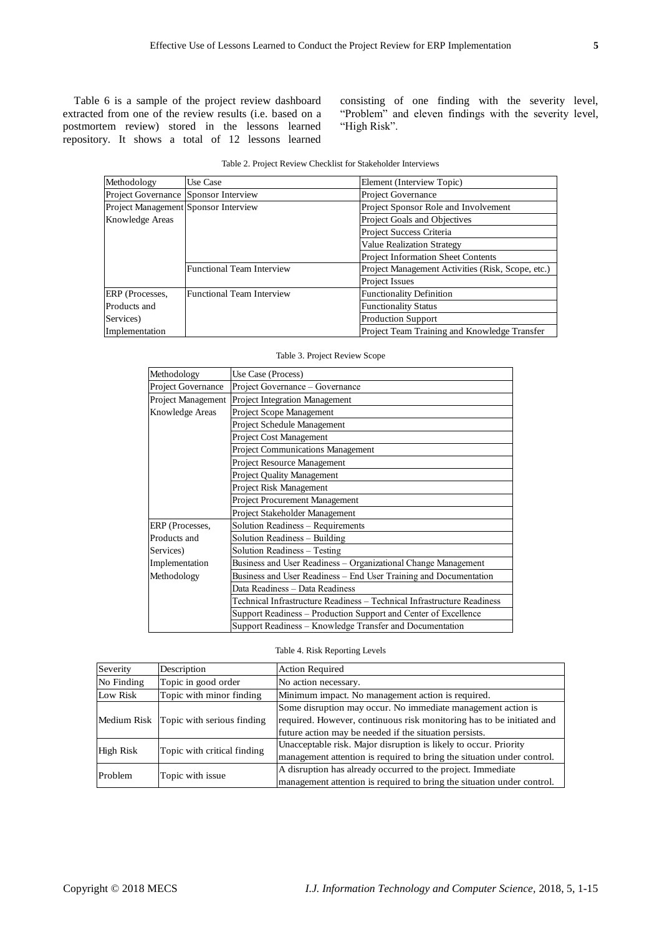Table 6 is a sample of the project review dashboard extracted from one of the review results (i.e. based on a postmortem review) stored in the lessons learned repository. It shows a total of 12 lessons learned

consisting of one finding with the severity level, "Problem" and eleven findings with the severity level, "High Risk".

| Methodology                          | Use Case                         | Element (Interview Topic)                         |
|--------------------------------------|----------------------------------|---------------------------------------------------|
| Project Governance Sponsor Interview |                                  | Project Governance                                |
| Project Management Sponsor Interview |                                  | Project Sponsor Role and Involvement              |
| Knowledge Areas                      |                                  | Project Goals and Objectives                      |
|                                      |                                  | Project Success Criteria                          |
|                                      |                                  | <b>Value Realization Strategy</b>                 |
|                                      |                                  | Project Information Sheet Contents                |
|                                      | <b>Functional Team Interview</b> | Project Management Activities (Risk, Scope, etc.) |
|                                      |                                  | <b>Project Issues</b>                             |
| ERP (Processes,                      | Functional Team Interview        | <b>Functionality Definition</b>                   |
| Products and                         |                                  | <b>Functionality Status</b>                       |
| Services)                            |                                  | <b>Production Support</b>                         |
| Implementation                       |                                  | Project Team Training and Knowledge Transfer      |

|  |  | Table 2. Project Review Checklist for Stakeholder Interviews |  |
|--|--|--------------------------------------------------------------|--|
|  |  |                                                              |  |

| Methodology        | Use Case (Process)                                                      |  |  |  |  |  |
|--------------------|-------------------------------------------------------------------------|--|--|--|--|--|
| Project Governance | Project Governance – Governance                                         |  |  |  |  |  |
| Project Management | <b>Project Integration Management</b>                                   |  |  |  |  |  |
| Knowledge Areas    | Project Scope Management                                                |  |  |  |  |  |
|                    | Project Schedule Management                                             |  |  |  |  |  |
|                    | <b>Project Cost Management</b>                                          |  |  |  |  |  |
|                    | Project Communications Management                                       |  |  |  |  |  |
|                    | Project Resource Management                                             |  |  |  |  |  |
|                    | <b>Project Quality Management</b>                                       |  |  |  |  |  |
|                    | Project Risk Management                                                 |  |  |  |  |  |
|                    | Project Procurement Management                                          |  |  |  |  |  |
|                    | Project Stakeholder Management                                          |  |  |  |  |  |
| ERP (Processes,    | Solution Readiness - Requirements                                       |  |  |  |  |  |
| Products and       | Solution Readiness – Building                                           |  |  |  |  |  |
| Services)          | Solution Readiness - Testing                                            |  |  |  |  |  |
| Implementation     | Business and User Readiness - Organizational Change Management          |  |  |  |  |  |
| Methodology        | Business and User Readiness – End User Training and Documentation       |  |  |  |  |  |
|                    | Data Readiness - Data Readiness                                         |  |  |  |  |  |
|                    | Technical Infrastructure Readiness - Technical Infrastructure Readiness |  |  |  |  |  |
|                    | Support Readiness – Production Support and Center of Excellence         |  |  |  |  |  |
|                    | Support Readiness – Knowledge Transfer and Documentation                |  |  |  |  |  |

#### Table 3. Project Review Scope

Table 4. Risk Reporting Levels

| Severity   | Description                            | <b>Action Required</b>                                                 |
|------------|----------------------------------------|------------------------------------------------------------------------|
| No Finding | Topic in good order                    | No action necessary.                                                   |
| Low Risk   | Topic with minor finding               | Minimum impact. No management action is required.                      |
|            |                                        | Some disruption may occur. No immediate management action is           |
|            | Medium Risk Topic with serious finding | required. However, continuous risk monitoring has to be initiated and  |
|            |                                        | future action may be needed if the situation persists.                 |
|            |                                        | Unacceptable risk. Major disruption is likely to occur. Priority       |
| High Risk  | Topic with critical finding            | management attention is required to bring the situation under control. |
|            |                                        | A disruption has already occurred to the project. Immediate            |
| Problem    | Topic with issue                       | management attention is required to bring the situation under control. |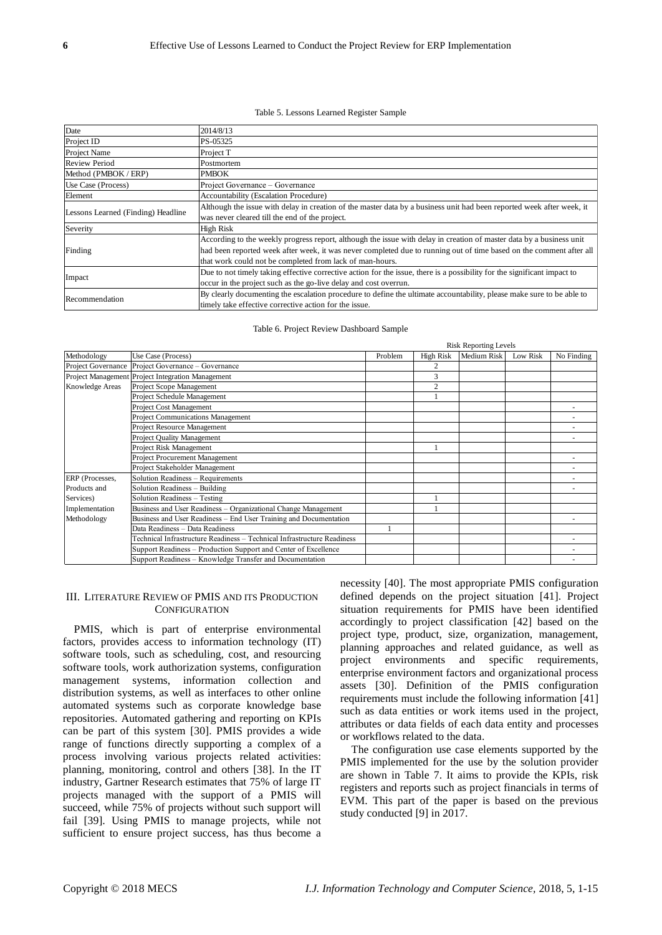#### Table 5. Lessons Learned Register Sample

| Date                               | 2014/8/13                                                                                                                |  |  |  |  |
|------------------------------------|--------------------------------------------------------------------------------------------------------------------------|--|--|--|--|
|                                    |                                                                                                                          |  |  |  |  |
| Project ID                         | PS-05325                                                                                                                 |  |  |  |  |
| Project Name                       | Project T                                                                                                                |  |  |  |  |
| <b>Review Period</b>               | Postmortem                                                                                                               |  |  |  |  |
| Method (PMBOK / ERP)               | <b>PMBOK</b>                                                                                                             |  |  |  |  |
| Use Case (Process)                 | Project Governance – Governance                                                                                          |  |  |  |  |
| Element                            | Accountability (Escalation Procedure)                                                                                    |  |  |  |  |
|                                    | Although the issue with delay in creation of the master data by a business unit had been reported week after week, it    |  |  |  |  |
| Lessons Learned (Finding) Headline | was never cleared till the end of the project.                                                                           |  |  |  |  |
| Severity                           | High Risk                                                                                                                |  |  |  |  |
|                                    | According to the weekly progress report, although the issue with delay in creation of master data by a business unit     |  |  |  |  |
| Finding                            | had been reported week after week, it was never completed due to running out of time based on the comment after all      |  |  |  |  |
|                                    | that work could not be completed from lack of man-hours.                                                                 |  |  |  |  |
|                                    | Due to not timely taking effective corrective action for the issue, there is a possibility for the significant impact to |  |  |  |  |
| Impact                             | occur in the project such as the go-live delay and cost overrun.                                                         |  |  |  |  |
| Recommendation                     | By clearly documenting the escalation procedure to define the ultimate accountability, please make sure to be able to    |  |  |  |  |
|                                    | timely take effective corrective action for the issue.                                                                   |  |  |  |  |

Table 6. Project Review Dashboard Sample

|                 |                                                                         |         |                  | <b>Risk Reporting Levels</b> |          |            |
|-----------------|-------------------------------------------------------------------------|---------|------------------|------------------------------|----------|------------|
| Methodology     | Use Case (Process)                                                      | Problem | <b>High Risk</b> | Medium Risk                  | Low Risk | No Finding |
|                 | Project Governance Project Governance – Governance                      |         |                  |                              |          |            |
|                 | Project Management Project Integration Management                       |         | 3                |                              |          |            |
| Knowledge Areas | Project Scope Management                                                |         | $\overline{2}$   |                              |          |            |
|                 | Project Schedule Management                                             |         |                  |                              |          |            |
|                 | <b>Project Cost Management</b>                                          |         |                  |                              |          |            |
|                 | Project Communications Management                                       |         |                  |                              |          |            |
|                 | Project Resource Management                                             |         |                  |                              |          |            |
|                 | <b>Project Quality Management</b>                                       |         |                  |                              |          |            |
|                 | Project Risk Management                                                 |         |                  |                              |          |            |
|                 | Project Procurement Management                                          |         |                  |                              |          |            |
|                 | Project Stakeholder Management                                          |         |                  |                              |          |            |
| ERP (Processes, | Solution Readiness - Requirements                                       |         |                  |                              |          |            |
| Products and    | Solution Readiness - Building                                           |         |                  |                              |          |            |
| Services)       | Solution Readiness - Testing                                            |         |                  |                              |          |            |
| Implementation  | Business and User Readiness – Organizational Change Management          |         |                  |                              |          |            |
| Methodology     | Business and User Readiness - End User Training and Documentation       |         |                  |                              |          |            |
|                 | Data Readiness - Data Readiness                                         |         |                  |                              |          |            |
|                 | Technical Infrastructure Readiness - Technical Infrastructure Readiness |         |                  |                              |          |            |
|                 | Support Readiness – Production Support and Center of Excellence         |         |                  |                              |          |            |
|                 | Support Readiness – Knowledge Transfer and Documentation                |         |                  |                              |          |            |

#### III. LITERATURE REVIEW OF PMIS AND ITS PRODUCTION **CONFIGURATION**

PMIS, which is part of enterprise environmental factors, provides access to information technology (IT) software tools, such as scheduling, cost, and resourcing software tools, work authorization systems, configuration management systems, information collection and distribution systems, as well as interfaces to other online automated systems such as corporate knowledge base repositories. Automated gathering and reporting on KPIs can be part of this system [30]. PMIS provides a wide range of functions directly supporting a complex of a process involving various projects related activities: planning, monitoring, control and others [38]. In the IT industry, Gartner Research estimates that 75% of large IT projects managed with the support of a PMIS will succeed, while 75% of projects without such support will fail [39]. Using PMIS to manage projects, while not sufficient to ensure project success, has thus become a

necessity [40]. The most appropriate PMIS configuration defined depends on the project situation [41]. Project situation requirements for PMIS have been identified accordingly to project classification [42] based on the project type, product, size, organization, management, planning approaches and related guidance, as well as project environments and specific requirements, enterprise environment factors and organizational process assets [30]. Definition of the PMIS configuration requirements must include the following information [41] such as data entities or work items used in the project, attributes or data fields of each data entity and processes or workflows related to the data.

The configuration use case elements supported by the PMIS implemented for the use by the solution provider are shown in Table 7. It aims to provide the KPIs, risk registers and reports such as project financials in terms of EVM. This part of the paper is based on the previous study conducted [9] in 2017.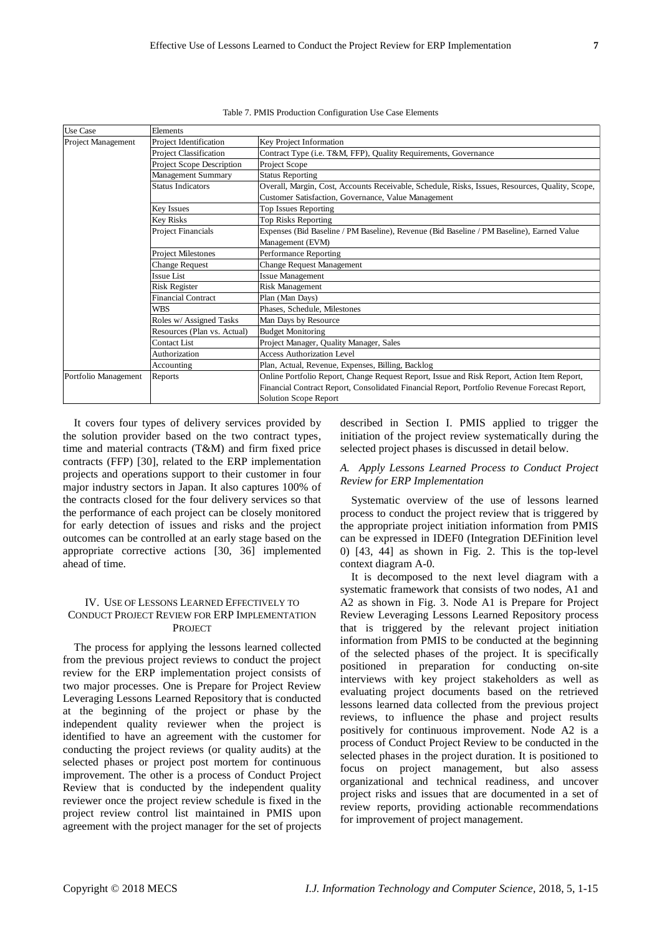| <b>Use Case</b>           | Elements                         |                                                                                                 |  |  |  |
|---------------------------|----------------------------------|-------------------------------------------------------------------------------------------------|--|--|--|
| <b>Project Management</b> | Project Identification           | Key Project Information                                                                         |  |  |  |
|                           | Project Classification           | Contract Type (i.e. T&M, FFP), Quality Requirements, Governance                                 |  |  |  |
|                           | <b>Project Scope Description</b> | Project Scope                                                                                   |  |  |  |
|                           | Management Summary               | <b>Status Reporting</b>                                                                         |  |  |  |
|                           | <b>Status Indicators</b>         | Overall, Margin, Cost, Accounts Receivable, Schedule, Risks, Issues, Resources, Quality, Scope, |  |  |  |
|                           |                                  | Customer Satisfaction, Governance, Value Management                                             |  |  |  |
|                           | Key Issues                       | <b>Top Issues Reporting</b>                                                                     |  |  |  |
|                           | <b>Key Risks</b>                 | Top Risks Reporting                                                                             |  |  |  |
|                           | <b>Project Financials</b>        | Expenses (Bid Baseline / PM Baseline), Revenue (Bid Baseline / PM Baseline), Earned Value       |  |  |  |
|                           |                                  | Management (EVM)                                                                                |  |  |  |
|                           | <b>Project Milestones</b>        | Performance Reporting                                                                           |  |  |  |
|                           | <b>Change Request</b>            | <b>Change Request Management</b>                                                                |  |  |  |
|                           | <b>Issue List</b>                | <b>Issue Management</b>                                                                         |  |  |  |
|                           | <b>Risk Register</b>             | <b>Risk Management</b>                                                                          |  |  |  |
|                           | <b>Financial Contract</b>        | Plan (Man Days)                                                                                 |  |  |  |
|                           | <b>WBS</b>                       | Phases, Schedule, Milestones                                                                    |  |  |  |
|                           | Roles w/ Assigned Tasks          | Man Days by Resource                                                                            |  |  |  |
|                           | Resources (Plan vs. Actual)      | <b>Budget Monitoring</b>                                                                        |  |  |  |
|                           | Contact List                     | Project Manager, Quality Manager, Sales                                                         |  |  |  |
|                           | Authorization                    | <b>Access Authorization Level</b>                                                               |  |  |  |
|                           | Accounting                       | Plan, Actual, Revenue, Expenses, Billing, Backlog                                               |  |  |  |
| Portfolio Management      | Reports                          | Online Portfolio Report, Change Request Report, Issue and Risk Report, Action Item Report,      |  |  |  |
|                           |                                  | Financial Contract Report, Consolidated Financial Report, Portfolio Revenue Forecast Report,    |  |  |  |
|                           |                                  | <b>Solution Scope Report</b>                                                                    |  |  |  |

Table 7. PMIS Production Configuration Use Case Elements

It covers four types of delivery services provided by the solution provider based on the two contract types, time and material contracts (T&M) and firm fixed price contracts (FFP) [30], related to the ERP implementation projects and operations support to their customer in four major industry sectors in Japan. It also captures 100% of the contracts closed for the four delivery services so that the performance of each project can be closely monitored for early detection of issues and risks and the project outcomes can be controlled at an early stage based on the appropriate corrective actions [30, 36] implemented ahead of time.

## IV. USE OF LESSONS LEARNED EFFECTIVELY TO CONDUCT PROJECT REVIEW FOR ERP IMPLEMENTATION **PROJECT**

The process for applying the lessons learned collected from the previous project reviews to conduct the project review for the ERP implementation project consists of two major processes. One is Prepare for Project Review Leveraging Lessons Learned Repository that is conducted at the beginning of the project or phase by the independent quality reviewer when the project is identified to have an agreement with the customer for conducting the project reviews (or quality audits) at the selected phases or project post mortem for continuous improvement. The other is a process of Conduct Project Review that is conducted by the independent quality reviewer once the project review schedule is fixed in the project review control list maintained in PMIS upon agreement with the project manager for the set of projects

described in Section I. PMIS applied to trigger the initiation of the project review systematically during the selected project phases is discussed in detail below.

## *A. Apply Lessons Learned Process to Conduct Project Review for ERP Implementation*

Systematic overview of the use of lessons learned process to conduct the project review that is triggered by the appropriate project initiation information from PMIS can be expressed in IDEF0 (Integration DEFinition level 0) [43, 44] as shown in Fig. 2. This is the top-level context diagram A-0.

It is decomposed to the next level diagram with a systematic framework that consists of two nodes, A1 and A2 as shown in Fig. 3. Node A1 is Prepare for Project Review Leveraging Lessons Learned Repository process that is triggered by the relevant project initiation information from PMIS to be conducted at the beginning of the selected phases of the project. It is specifically positioned in preparation for conducting on-site interviews with key project stakeholders as well as evaluating project documents based on the retrieved lessons learned data collected from the previous project reviews, to influence the phase and project results positively for continuous improvement. Node A2 is a process of Conduct Project Review to be conducted in the selected phases in the project duration. It is positioned to focus on project management, but also assess organizational and technical readiness, and uncover project risks and issues that are documented in a set of review reports, providing actionable recommendations for improvement of project management.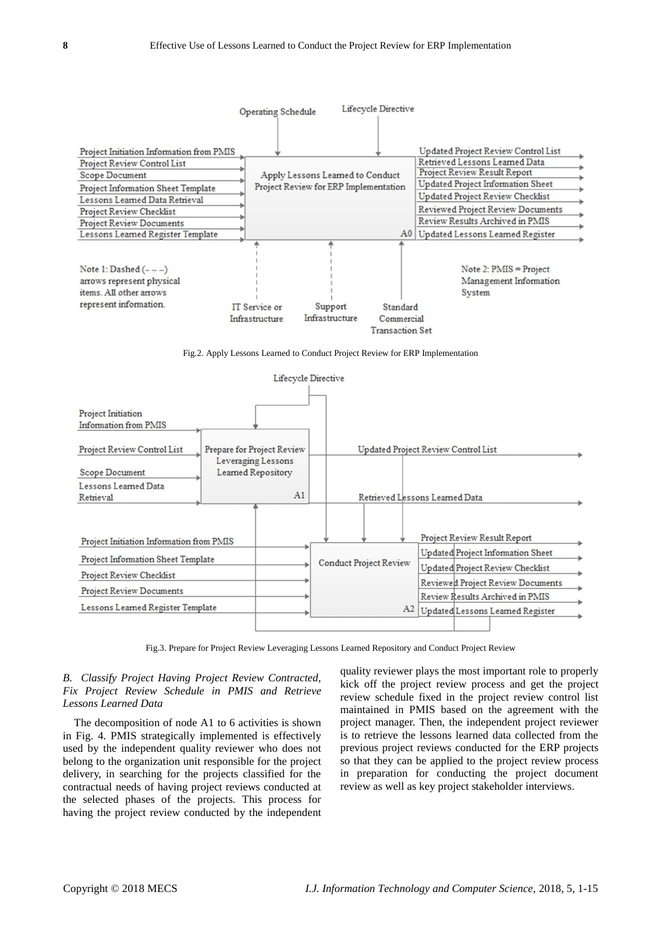

Fig.2. Apply Lessons Learned to Conduct Project Review for ERP Implementation



Fig.3. Prepare for Project Review Leveraging Lessons Learned Repository and Conduct Project Review

## *B. Classify Project Having Project Review Contracted, Fix Project Review Schedule in PMIS and Retrieve Lessons Learned Data*

The decomposition of node A1 to 6 activities is shown in Fig. 4. PMIS strategically implemented is effectively used by the independent quality reviewer who does not belong to the organization unit responsible for the project delivery, in searching for the projects classified for the contractual needs of having project reviews conducted at the selected phases of the projects. This process for having the project review conducted by the independent

quality reviewer plays the most important role to properly kick off the project review process and get the project review schedule fixed in the project review control list maintained in PMIS based on the agreement with the project manager. Then, the independent project reviewer is to retrieve the lessons learned data collected from the previous project reviews conducted for the ERP projects so that they can be applied to the project review process in preparation for conducting the project document review as well as key project stakeholder interviews.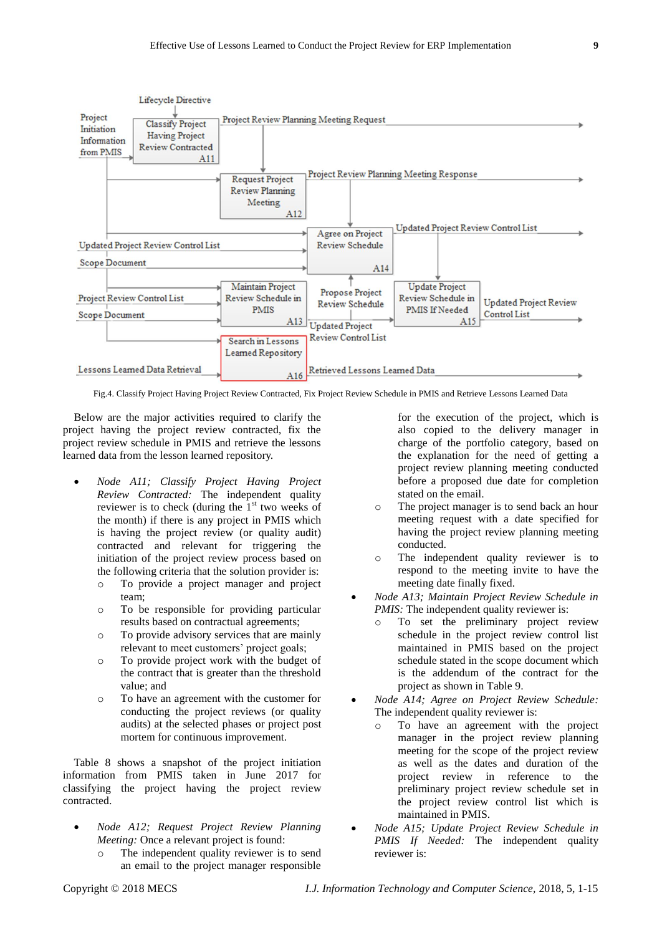

Fig.4. Classify Project Having Project Review Contracted, Fix Project Review Schedule in PMIS and Retrieve Lessons Learned Data

Below are the major activities required to clarify the project having the project review contracted, fix the project review schedule in PMIS and retrieve the lessons learned data from the lesson learned repository.

- *Node A11; Classify Project Having Project Review Contracted:* The independent quality reviewer is to check (during the  $1<sup>st</sup>$  two weeks of the month) if there is any project in PMIS which is having the project review (or quality audit) contracted and relevant for triggering the initiation of the project review process based on the following criteria that the solution provider is:
	- o To provide a project manager and project team;
	- o To be responsible for providing particular results based on contractual agreements;
	- o To provide advisory services that are mainly relevant to meet customers' project goals;
	- o To provide project work with the budget of the contract that is greater than the threshold value; and
	- o To have an agreement with the customer for conducting the project reviews (or quality audits) at the selected phases or project post mortem for continuous improvement.

Table 8 shows a snapshot of the project initiation information from PMIS taken in June 2017 for classifying the project having the project review contracted.

- *Node A12; Request Project Review Planning Meeting:* Once a relevant project is found:
	- The independent quality reviewer is to send an email to the project manager responsible

for the execution of the project, which is also copied to the delivery manager in charge of the portfolio category, based on the explanation for the need of getting a project review planning meeting conducted before a proposed due date for completion stated on the email.

- o The project manager is to send back an hour meeting request with a date specified for having the project review planning meeting conducted.
- o The independent quality reviewer is to respond to the meeting invite to have the meeting date finally fixed.
- *Node A13; Maintain Project Review Schedule in PMIS:* The independent quality reviewer is:
	- o To set the preliminary project review schedule in the project review control list maintained in PMIS based on the project schedule stated in the scope document which is the addendum of the contract for the project as shown in Table 9.
- *Node A14; Agree on Project Review Schedule:* The independent quality reviewer is:
	- o To have an agreement with the project manager in the project review planning meeting for the scope of the project review as well as the dates and duration of the project review in reference to the preliminary project review schedule set in the project review control list which is maintained in PMIS.
- *Node A15; Update Project Review Schedule in PMIS If Needed:* The independent quality reviewer is: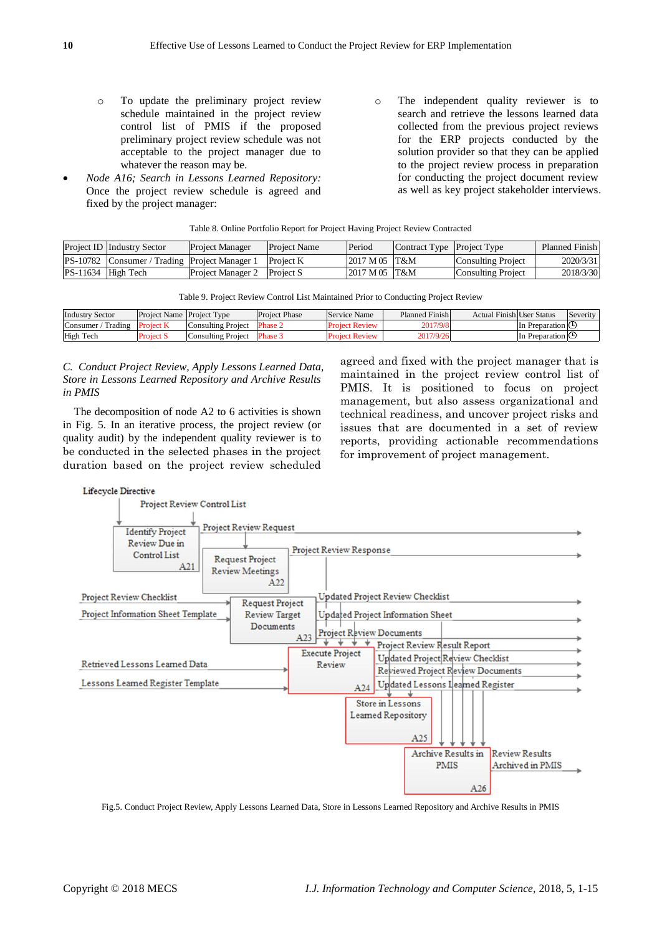- o To update the preliminary project review schedule maintained in the project review control list of PMIS if the proposed preliminary project review schedule was not acceptable to the project manager due to whatever the reason may be.
- *Node A16; Search in Lessons Learned Repository:* Once the project review schedule is agreed and fixed by the project manager:
- o The independent quality reviewer is to search and retrieve the lessons learned data collected from the previous project reviews for the ERP projects conducted by the solution provider so that they can be applied to the project review process in preparation for conducting the project document review as well as key project stakeholder interviews.

| <b>Project ID Industry Sector</b>             | <b>Project Manager</b>      | <b>Project Name</b> | Period          | Contract Type Project Type |                    | Planned Finish |
|-----------------------------------------------|-----------------------------|---------------------|-----------------|----------------------------|--------------------|----------------|
| PS-10782 Consumer / Trading Project Manager 1 |                             | <b>Project K</b>    | $2017 M 05$ T&M |                            | Consulting Project | 2020/3/31      |
| PS-11634 High Tech                            | Project Manager 2 Project S |                     | 2017 M 05 T&M   |                            | Consulting Project | 2018/3/30      |

Table 8. Online Portfolio Report for Project Having Project Review Contracted

| Project ID Tindustry Sector                   | <b>Project Manager</b>             | <b>Project Name</b> | ilefioq                   | contract Type project Type |                    | Pianned Finish |
|-----------------------------------------------|------------------------------------|---------------------|---------------------------|----------------------------|--------------------|----------------|
| PS-10782 Consumer / Trading Project Manager 1 |                                    | Project K           | $ 2017 \text{ M} 05 $ T&M |                            | Consulting Project | 2020/3/31      |
| $PS-11634$ High Tech                          | <b>Project Manager 2</b> Project S |                     | $ 2017 \text{ M} 05 $ T&M |                            | Consulting Project | 2018/3/30      |
|                                               |                                    |                     |                           |                            |                    |                |

| <b>Industry Sector</b> | <b>Project Name Project Type</b> |                    | <b>Project Phase</b> | Service Name          | Planned Finish | Actual Finish User Status |                   | Severity |
|------------------------|----------------------------------|--------------------|----------------------|-----------------------|----------------|---------------------------|-------------------|----------|
| Consumer / Trading     | <b>Project K</b>                 | Consulting Project | Phase 2              | <b>Project Review</b> | 2017/9/8       |                           | In Preparation IC |          |
| High Tech              | <b>Project S</b>                 | Consulting Project | Phase 3              | <b>Project Review</b> | 2017/9/26      |                           | In Preparation IC |          |

Table 9. Project Review Control List Maintained Prior to Conducting Project Review

# *C. Conduct Project Review, Apply Lessons Learned Data, Store in Lessons Learned Repository and Archive Results in PMIS*

The decomposition of node A2 to 6 activities is shown in Fig. 5. In an iterative process, the project review (or quality audit) by the independent quality reviewer is to be conducted in the selected phases in the project duration based on the project review scheduled

agreed and fixed with the project manager that is maintained in the project review control list of PMIS. It is positioned to focus on project management, but also assess organizational and technical readiness, and uncover project risks and issues that are documented in a set of review reports, providing actionable recommendations for improvement of project management.



Fig.5. Conduct Project Review, Apply Lessons Learned Data, Store in Lessons Learned Repository and Archive Results in PMIS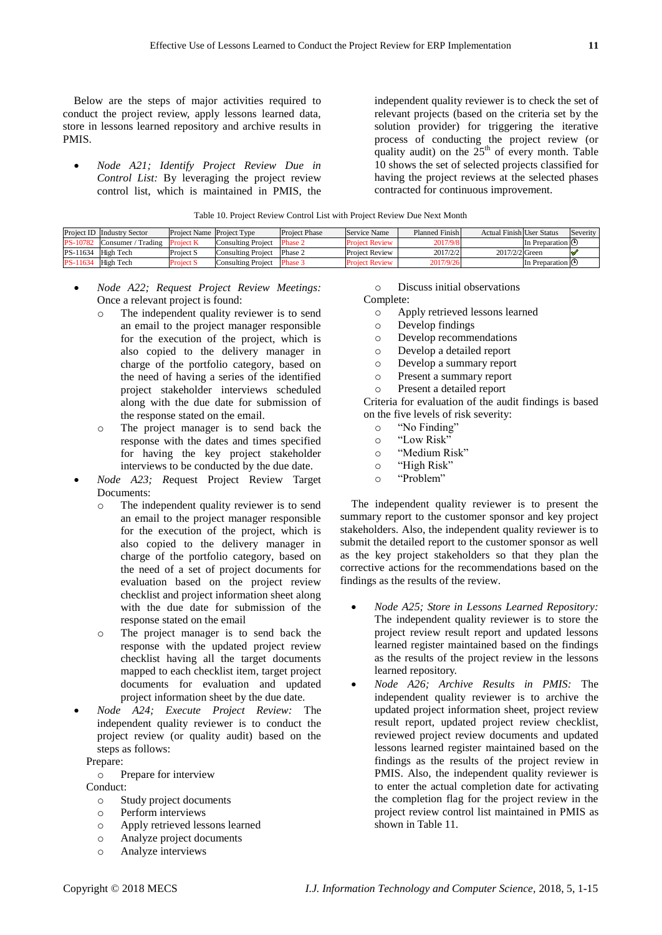Below are the steps of major activities required to conduct the project review, apply lessons learned data, store in lessons learned repository and archive results in PMIS.

 *Node A21; Identify Project Review Due in Control List:* By leveraging the project review control list, which is maintained in PMIS, the independent quality reviewer is to check the set of relevant projects (based on the criteria set by the solution provider) for triggering the iterative process of conducting the project review (or quality audit) on the  $25<sup>th</sup>$  of every month. Table 10 shows the set of selected projects classified for having the project reviews at the selected phases contracted for continuous improvement.

| Table 10. Project Review Control List with Project Review Due Next Month |  |  |
|--------------------------------------------------------------------------|--|--|
|--------------------------------------------------------------------------|--|--|

|                 | <b>Project ID</b> Industry Sector | <b>Project Name Project Type</b> |                    | <b>Project Phase</b> | Service Name          | <b>Planned Finishl</b> | <b>Actual Finish User Status</b> |                               | Severity |
|-----------------|-----------------------------------|----------------------------------|--------------------|----------------------|-----------------------|------------------------|----------------------------------|-------------------------------|----------|
| <b>PS-10782</b> | Consumer / Trading                | <b>Project K</b>                 | Consulting Project | Phase 2              | <b>Project Review</b> | 2017/9/8               |                                  | <b>In Preparation</b> に       |          |
| PS-11634        | High Tech                         | Project S                        | Consulting Project | Phase 2              | <b>Project Review</b> | 2017/2/2               | $2017/2/2$ Green                 |                               |          |
| PS-11634        | High Tech                         | <b>Project S</b>                 | Consulting Project | Phase 3              | <b>Project Review</b> | 2017/9/26              |                                  | In Preparation $\mathfrak{S}$ |          |

- *Node A22; Request Project Review Meetings:* Once a relevant project is found:
	- o The independent quality reviewer is to send an email to the project manager responsible for the execution of the project, which is also copied to the delivery manager in charge of the portfolio category, based on the need of having a series of the identified project stakeholder interviews scheduled along with the due date for submission of the response stated on the email.
	- o The project manager is to send back the response with the dates and times specified for having the key project stakeholder interviews to be conducted by the due date.
- *Node A23; R*equest Project Review Target Documents:
	- o The independent quality reviewer is to send an email to the project manager responsible for the execution of the project, which is also copied to the delivery manager in charge of the portfolio category, based on the need of a set of project documents for evaluation based on the project review checklist and project information sheet along with the due date for submission of the response stated on the email
	- o The project manager is to send back the response with the updated project review checklist having all the target documents mapped to each checklist item, target project documents for evaluation and updated project information sheet by the due date.
- *Node A24; Execute Project Review:* The independent quality reviewer is to conduct the project review (or quality audit) based on the steps as follows:

Prepare:

o Prepare for interview

Conduct:

- o Study project documents
- o Perform interviews
- o Apply retrieved lessons learned
- o Analyze project documents
- o Analyze interviews

o Discuss initial observations

Complete:<br>
o Ar

- Apply retrieved lessons learned
- o Develop findings
- o Develop recommendations
- o Develop a detailed report
- o Develop a summary report
- o Present a summary report
- o Present a detailed report

Criteria for evaluation of the audit findings is based on the five levels of risk severity:

- o "No Finding"
- o "Low Risk"
- o "Medium Risk"
- o "High Risk"
- o "Problem"

The independent quality reviewer is to present the summary report to the customer sponsor and key project stakeholders. Also, the independent quality reviewer is to submit the detailed report to the customer sponsor as well as the key project stakeholders so that they plan the corrective actions for the recommendations based on the findings as the results of the review.

- *Node A25; Store in Lessons Learned Repository:* The independent quality reviewer is to store the project review result report and updated lessons learned register maintained based on the findings as the results of the project review in the lessons learned repository.
- *Node A26; Archive Results in PMIS:* The independent quality reviewer is to archive the updated project information sheet, project review result report, updated project review checklist, reviewed project review documents and updated lessons learned register maintained based on the findings as the results of the project review in PMIS. Also, the independent quality reviewer is to enter the actual completion date for activating the completion flag for the project review in the project review control list maintained in PMIS as shown in Table 11.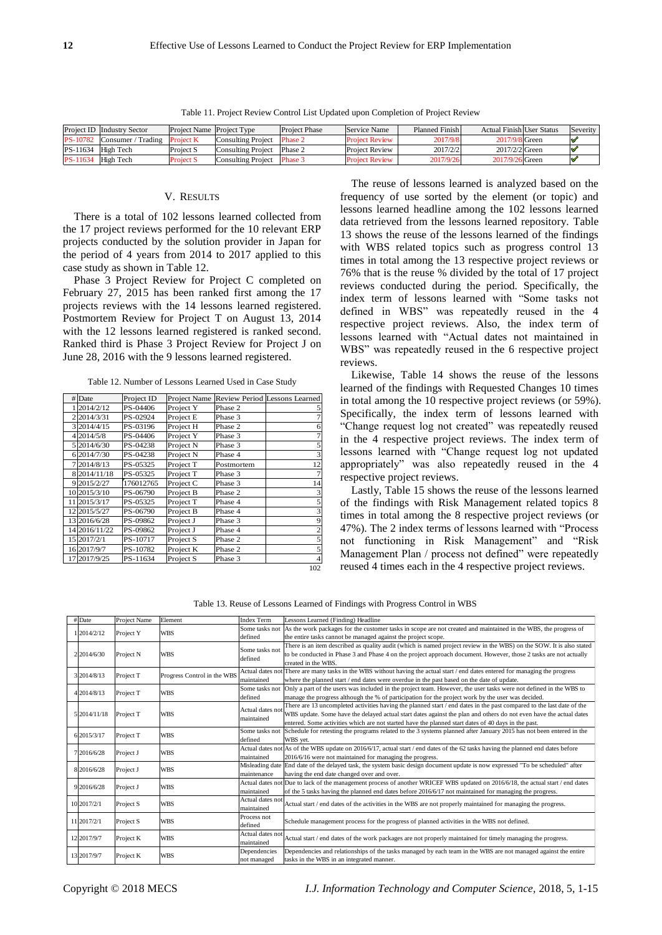| v      |
|--------|
| ٧<br>٦ |
|        |

|          | Project ID Industry Sector   | <b>Project Name Project Type</b> |                            | <b>Project Phase</b> | Service Name          | Planned Finish | <b>Actual Finish User Status</b> | Severity |
|----------|------------------------------|----------------------------------|----------------------------|----------------------|-----------------------|----------------|----------------------------------|----------|
| PS-10782 | Consumer / Trading Project K |                                  | Consulting Project         | Phase 2              | <b>Project Review</b> | 2017/9/8       | 2017/9/8 Green                   |          |
| PS-11634 | High Tech                    | Project S                        | Consulting Project         | Phase 2              | <b>Project Review</b> | 2017/2/2       | $2017/2/2$ Green                 |          |
| PS-11634 | High Tech                    | Project S                        | Consulting Project Phase 3 |                      | <b>Project Review</b> | 2017/9/26      | 2017/9/26 Green                  |          |

Table 11. Project Review Control List Updated upon Completion of Project Review

#### V. RESULTS

There is a total of 102 lessons learned collected from the 17 project reviews performed for the 10 relevant ERP projects conducted by the solution provider in Japan for the period of 4 years from 2014 to 2017 applied to this case study as shown in Table 12.

Phase 3 Project Review for Project C completed on February 27, 2015 has been ranked first among the 17 projects reviews with the 14 lessons learned registered. Postmortem Review for Project T on August 13, 2014 with the 12 lessons learned registered is ranked second. Ranked third is Phase 3 Project Review for Project J on June 28, 2016 with the 9 lessons learned registered.

Table 12. Number of Lessons Learned Used in Case Study

| $\#$ Date           | Project ID | Project Name |            | Review Period Lessons Learned |
|---------------------|------------|--------------|------------|-------------------------------|
| 2014/2/12           | PS-04406   | Project Y    | Phase 2    |                               |
| 2 2 0 1 4 / 3 / 3 1 | PS-02924   | Project E    | Phase 3    |                               |
| 3 2014/4/15         | PS-03196   | Project H    | Phase 2    | 6                             |
| 4 2014/5/8          | PS-04406   | Project Y    | Phase 3    |                               |
| 5 2014/6/30         | PS-04238   | Project N    | Phase 3    |                               |
| 6 2014/7/30         | PS-04238   | Project N    | Phase 4    |                               |
| 7 2014/8/13         | PS-05325   | Project T    | Postmortem | 12                            |
| 8 2014/11/18        | PS-05325   | Project T    | Phase 3    |                               |
| 9 2015/2/27         | 176012765  | Project C    | Phase 3    | 14                            |
| 10 2015/3/10        | PS-06790   | Project B    | Phase 2    |                               |
| 11 2015/3/17        | PS-05325   | Project T    | Phase 4    |                               |
| 12 2015/5/27        | PS-06790   | Project B    | Phase 4    |                               |
| 13 2016/6/28        | PS-09862   | Project J    | Phase 3    | 9                             |
| 14 2016/11/22       | PS-09862   | Project J    | Phase 4    |                               |
| 15 2017/2/1         | PS-10717   | Project S    | Phase 2    |                               |
| 16 2017/9/7         | PS-10782   | Project K    | Phase 2    |                               |
| 17 2017/9/25        | PS-11634   | Project S    | Phase 3    | $\overline{4}$                |
|                     |            |              |            | 102                           |

The reuse of lessons learned is analyzed based on the frequency of use sorted by the element (or topic) and lessons learned headline among the 102 lessons learned data retrieved from the lessons learned repository. Table 13 shows the reuse of the lessons learned of the findings with WBS related topics such as progress control 13 times in total among the 13 respective project reviews or 76% that is the reuse % divided by the total of 17 project reviews conducted during the period. Specifically, the index term of lessons learned with "Some tasks not defined in WBS" was repeatedly reused in the 4 respective project reviews. Also, the index term of lessons learned with "Actual dates not maintained in WBS" was repeatedly reused in the 6 respective project reviews.

Likewise, Table 14 shows the reuse of the lessons learned of the findings with Requested Changes 10 times in total among the 10 respective project reviews (or 59%). Specifically, the index term of lessons learned with "Change request log not created" was repeatedly reused in the 4 respective project reviews. The index term of lessons learned with "Change request log not updated appropriately" was also repeatedly reused in the 4 respective project reviews.

Lastly, Table 15 shows the reuse of the lessons learned of the findings with Risk Management related topics 8 times in total among the 8 respective project reviews (or 47%). The 2 index terms of lessons learned with "Process not functioning in Risk Management" and "Risk Management Plan / process not defined" were repeatedly reused 4 times each in the 4 respective project reviews.

Table 13. Reuse of Lessons Learned of Findings with Progress Control in WBS

|                     | $#$ Date     | Project Name                             | Element    | <b>Index Term</b>                                                                                                | Lessons Learned (Finding) Headline                                                                                               |
|---------------------|--------------|------------------------------------------|------------|------------------------------------------------------------------------------------------------------------------|----------------------------------------------------------------------------------------------------------------------------------|
|                     | 12014/2/12   | Project Y<br><b>WBS</b><br>defined       |            | Some tasks not                                                                                                   | As the work packages for the customer tasks in scope are not created and maintained in the WBS, the progress of                  |
|                     |              |                                          |            |                                                                                                                  | the entire tasks cannot be managed against the project scope.                                                                    |
|                     |              |                                          |            | Some tasks not                                                                                                   | There is an item described as quality audit (which is named project review in the WBS) on the SOW. It is also stated             |
| 2 2 0 1 4 / 6 / 3 0 | Project N    | <b>WBS</b>                               | defined    | to be conducted in Phase 3 and Phase 4 on the project approach document. However, those 2 tasks are not actually |                                                                                                                                  |
|                     |              |                                          |            |                                                                                                                  | created in the WBS.                                                                                                              |
|                     | 3 2014/8/13  | Progress Control in the WBS<br>Project T |            |                                                                                                                  | Actual dates not There are many tasks in the WBS without having the actual start / end dates entered for managing the progress   |
|                     |              |                                          |            | maintained                                                                                                       | where the planned start / end dates were overdue in the past based on the date of update.                                        |
|                     | 4 2014/8/13  | Project T                                | <b>WBS</b> | Some tasks not                                                                                                   | Only a part of the users was included in the project team. However, the user tasks were not defined in the WBS to                |
|                     |              |                                          |            | defined                                                                                                          | manage the progress although the % of participation for the project work by the user was decided.                                |
|                     |              |                                          |            | Actual dates not                                                                                                 | There are 13 uncompleted activities having the planned start / end dates in the past compared to the last date of the            |
|                     | 5 2014/11/18 | Project T                                | <b>WBS</b> | maintained                                                                                                       | WBS update. Some have the delayed actual start dates against the plan and others do not even have the actual dates               |
|                     |              |                                          |            |                                                                                                                  | entered. Some activities which are not started have the planned start dates of 40 days in the past.                              |
|                     | 6 2015/3/17  | Project T                                | <b>WBS</b> | Some tasks not                                                                                                   | Schedule for retesting the programs related to the 3 systems planned after January 2015 has not been entered in the              |
|                     |              |                                          | defined    |                                                                                                                  | WBS vet.                                                                                                                         |
|                     | 7 2016/6/28  | Project J                                | <b>WBS</b> |                                                                                                                  | Actual dates not As of the WBS update on 2016/6/17, actual start / end dates of the 62 tasks having the planned end dates before |
|                     |              |                                          |            | maintained                                                                                                       | 2016/6/16 were not maintained for managing the progress.                                                                         |
|                     | 8 2016/6/28  | Project J                                | <b>WBS</b> |                                                                                                                  | Misleading date End date of the delayed task, the system basic design document update is now expressed "To be scheduled" after   |
|                     |              |                                          |            | maintenance                                                                                                      | having the end date changed over and over.                                                                                       |
|                     | 9 2016/6/28  | Project J                                | <b>WBS</b> |                                                                                                                  | Actual dates not Due to lack of the management process of another WRICEF WBS updated on 2016/6/18, the actual start / end dates  |
|                     |              |                                          |            | maintained                                                                                                       | of the 5 tasks having the planned end dates before 2016/6/17 not maintained for managing the progress.                           |
|                     | 10 2017/2/1  | Project S                                | <b>WBS</b> | Actual dates not                                                                                                 | Actual start / end dates of the activities in the WBS are not properly maintained for managing the progress.                     |
|                     |              |                                          |            | maintained                                                                                                       |                                                                                                                                  |
|                     | 11 2017/2/1  | Project S                                | <b>WBS</b> | Process not                                                                                                      | Schedule management process for the progress of planned activities in the WBS not defined.                                       |
|                     |              |                                          |            | defined                                                                                                          |                                                                                                                                  |
|                     | 12 2017/9/7  | Project K                                | <b>WBS</b> | Actual dates not                                                                                                 | Actual start / end dates of the work packages are not properly maintained for timely managing the progress.                      |
|                     |              |                                          |            | maintained                                                                                                       |                                                                                                                                  |
|                     | 13 2017/9/7  | Project K                                | <b>WBS</b> | Dependencies                                                                                                     | Dependencies and relationships of the tasks managed by each team in the WBS are not managed against the entire                   |
|                     |              |                                          |            | not managed                                                                                                      | tasks in the WBS in an integrated manner.                                                                                        |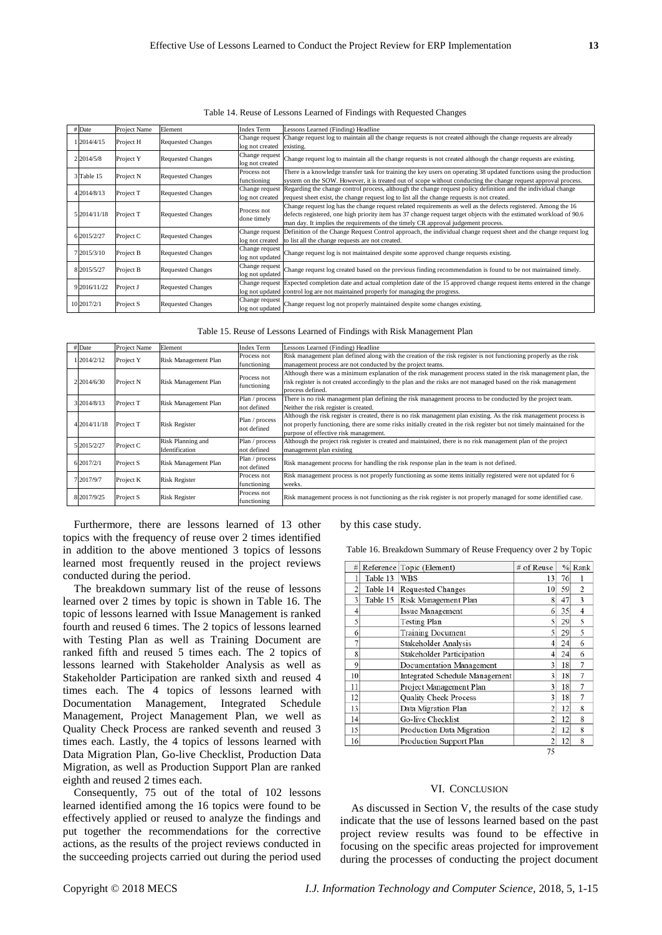| Table 14. Reuse of Lessons Learned of Findings with Requested Changes |  |  |
|-----------------------------------------------------------------------|--|--|
|-----------------------------------------------------------------------|--|--|

|              | $#$ Date     | Project Name                          | Element                                     | <b>Index Term</b>                                                                                                   | Lessons Learned (Finding) Headline                                                                                               |  |  |
|--------------|--------------|---------------------------------------|---------------------------------------------|---------------------------------------------------------------------------------------------------------------------|----------------------------------------------------------------------------------------------------------------------------------|--|--|
|              |              |                                       | Change request<br><b>Requested Changes</b>  |                                                                                                                     | Change request log to maintain all the change requests is not created although the change requests are already                   |  |  |
|              | 12014/4/15   | Project H                             |                                             | log not created                                                                                                     | existing.                                                                                                                        |  |  |
|              |              |                                       |                                             | Change request                                                                                                      |                                                                                                                                  |  |  |
|              | 2 2014/5/8   | Project Y                             | <b>Requested Changes</b><br>log not created |                                                                                                                     | Change request log to maintain all the change requests is not created although the change requests are existing.                 |  |  |
|              |              |                                       | Process not                                 |                                                                                                                     | There is a knowledge transfer task for training the key users on operating 38 updated functions using the production             |  |  |
|              | 3 Table 15   | Project N<br><b>Requested Changes</b> |                                             | functioning                                                                                                         | system on the SOW. However, it is treated out of scope without conducting the change request approval process.                   |  |  |
|              | 4 2014/8/13  | Project T<br><b>Requested Changes</b> |                                             | Change request                                                                                                      | Regarding the change control process, although the change request policy definition and the individual change                    |  |  |
|              |              |                                       |                                             | log not created                                                                                                     | request sheet exist, the change request log to list all the change requests is not created.                                      |  |  |
|              |              |                                       |                                             |                                                                                                                     | Change request log has the change request related requirements as well as the defects registered. Among the 16                   |  |  |
| 5 2014/11/18 | Project T    | <b>Requested Changes</b>              | Process not                                 | defects registered, one high priority item has 37 change request target objects with the estimated workload of 90.6 |                                                                                                                                  |  |  |
|              |              |                                       |                                             | done timely                                                                                                         | man day. It implies the requirements of the timely CR approval judgement process.                                                |  |  |
|              | 6 2015/2/27  | Project C                             |                                             | Change request                                                                                                      | Definition of the Change Request Control approach, the individual change request sheet and the change request log                |  |  |
|              |              |                                       | <b>Requested Changes</b>                    | log not created                                                                                                     | to list all the change requests are not created.                                                                                 |  |  |
|              | 7 2015/3/10  | Project B                             | <b>Requested Changes</b>                    | Change request                                                                                                      | Change request log is not maintained despite some approved change requests existing.                                             |  |  |
|              |              |                                       |                                             | log not updated                                                                                                     |                                                                                                                                  |  |  |
|              | 8 2015/5/27  | Project B                             | <b>Requested Changes</b>                    | Change request                                                                                                      | Change request log created based on the previous finding recommendation is found to be not maintained timely.                    |  |  |
|              |              |                                       |                                             | log not updated                                                                                                     |                                                                                                                                  |  |  |
|              | 9 2016/11/22 |                                       |                                             |                                                                                                                     | Change request Expected completion date and actual completion date of the 15 approved change request items entered in the change |  |  |
|              |              | Project J                             | <b>Requested Changes</b>                    |                                                                                                                     | log not updated control log are not maintained properly for managing the progress.                                               |  |  |
|              | 10 2017/2/1  |                                       |                                             | Change request                                                                                                      |                                                                                                                                  |  |  |
|              |              | Project S<br><b>Requested Changes</b> |                                             | log not updated                                                                                                     | Change request log not properly maintained despite some changes existing.                                                        |  |  |

Table 15. Reuse of Lessons Learned of Findings with Risk Management Plan

|  | # Date                    | Project Name         | Element              | <b>Index Term</b>                                                                                                                                                             | Lessons Learned (Finding) Headline                                                                                                                                                                                                                                                                                                                                                                                                                                                                                                                                                    |
|--|---------------------------|----------------------|----------------------|-------------------------------------------------------------------------------------------------------------------------------------------------------------------------------|---------------------------------------------------------------------------------------------------------------------------------------------------------------------------------------------------------------------------------------------------------------------------------------------------------------------------------------------------------------------------------------------------------------------------------------------------------------------------------------------------------------------------------------------------------------------------------------|
|  | 1 2014/2/12               | Project Y            | Risk Management Plan | Process not                                                                                                                                                                   | Risk management plan defined along with the creation of the risk register is not functioning properly as the risk                                                                                                                                                                                                                                                                                                                                                                                                                                                                     |
|  |                           |                      |                      | functioning                                                                                                                                                                   | management process are not conducted by the project teams.                                                                                                                                                                                                                                                                                                                                                                                                                                                                                                                            |
|  |                           |                      |                      |                                                                                                                                                                               | Although there was a minimum explanation of the risk management process stated in the risk management plan, the                                                                                                                                                                                                                                                                                                                                                                                                                                                                       |
|  | 2 2 2 0 1 4 / 6 / 3 0     | Project N            | Risk Management Plan |                                                                                                                                                                               | risk register is not created accordingly to the plan and the risks are not managed based on the risk management<br>process defined.<br>There is no risk management plan defining the risk management process to be conducted by the project team.<br>Neither the risk register is created.<br>purpose of effective risk management.<br>Although the project risk register is created and maintained, there is no risk management plan of the project<br>management plan existing<br>Risk management process for handling the risk response plan in the team is not defined.<br>weeks. |
|  |                           |                      |                      | Process not<br>functioning<br>Plan / process<br>not defined<br>Plan / process<br>not defined<br>Plan / process<br>not defined<br>Plan / process<br>not defined<br>Process not |                                                                                                                                                                                                                                                                                                                                                                                                                                                                                                                                                                                       |
|  | 3 2014/8/13               | Project T            | Risk Management Plan |                                                                                                                                                                               |                                                                                                                                                                                                                                                                                                                                                                                                                                                                                                                                                                                       |
|  |                           |                      |                      |                                                                                                                                                                               |                                                                                                                                                                                                                                                                                                                                                                                                                                                                                                                                                                                       |
|  | 4 2014/11/18<br>Project T |                      |                      |                                                                                                                                                                               | Although the risk register is created, there is no risk management plan existing. As the risk management process is                                                                                                                                                                                                                                                                                                                                                                                                                                                                   |
|  |                           | <b>Risk Register</b> |                      | not properly functioning, there are some risks initially created in the risk register but not timely maintained for the                                                       |                                                                                                                                                                                                                                                                                                                                                                                                                                                                                                                                                                                       |
|  |                           |                      |                      |                                                                                                                                                                               |                                                                                                                                                                                                                                                                                                                                                                                                                                                                                                                                                                                       |
|  |                           |                      | Risk Planning and    |                                                                                                                                                                               |                                                                                                                                                                                                                                                                                                                                                                                                                                                                                                                                                                                       |
|  | 5 2015/2/27               | Project C            | Identification       |                                                                                                                                                                               |                                                                                                                                                                                                                                                                                                                                                                                                                                                                                                                                                                                       |
|  |                           |                      |                      |                                                                                                                                                                               |                                                                                                                                                                                                                                                                                                                                                                                                                                                                                                                                                                                       |
|  | 6 2017/2/1                | Project S            | Risk Management Plan |                                                                                                                                                                               |                                                                                                                                                                                                                                                                                                                                                                                                                                                                                                                                                                                       |
|  |                           |                      |                      |                                                                                                                                                                               | Risk management process is not properly functioning as some items initially registered were not updated for 6                                                                                                                                                                                                                                                                                                                                                                                                                                                                         |
|  | 7 2017/9/7                | Project K            | <b>Risk Register</b> | functioning                                                                                                                                                                   |                                                                                                                                                                                                                                                                                                                                                                                                                                                                                                                                                                                       |
|  |                           |                      |                      | Process not                                                                                                                                                                   |                                                                                                                                                                                                                                                                                                                                                                                                                                                                                                                                                                                       |
|  | 8 2017/9/25               | Project S            | <b>Risk Register</b> | functioning                                                                                                                                                                   | Risk management process is not functioning as the risk register is not properly managed for some identified case.                                                                                                                                                                                                                                                                                                                                                                                                                                                                     |

Furthermore, there are lessons learned of 13 other topics with the frequency of reuse over 2 times identified in addition to the above mentioned 3 topics of lessons learned most frequently reused in the project reviews conducted during the period.

The breakdown summary list of the reuse of lessons learned over 2 times by topic is shown in Table 16. The topic of lessons learned with Issue Management is ranked fourth and reused 6 times. The 2 topics of lessons learned with Testing Plan as well as Training Document are ranked fifth and reused 5 times each. The 2 topics of lessons learned with Stakeholder Analysis as well as Stakeholder Participation are ranked sixth and reused 4 times each. The 4 topics of lessons learned with Documentation Management, Integrated Schedule Management, Project Management Plan, we well as Quality Check Process are ranked seventh and reused 3 times each. Lastly, the 4 topics of lessons learned with Data Migration Plan, Go-live Checklist, Production Data Migration, as well as Production Support Plan are ranked eighth and reused 2 times each.

Consequently, 75 out of the total of 102 lessons learned identified among the 16 topics were found to be effectively applied or reused to analyze the findings and put together the recommendations for the corrective actions, as the results of the project reviews conducted in the succeeding projects carried out during the period used

#### by this case study.

Table 16. Breakdown Summary of Reuse Frequency over 2 by Topic

| #                       |          | Reference Topic (Element)        | # of Reuse     |    | $%$ Rank       |
|-------------------------|----------|----------------------------------|----------------|----|----------------|
|                         | Table 13 | WBS                              | 13             | 76 |                |
| 2                       | Table 14 | <b>Requested Changes</b>         | 10             | 59 | $\overline{2}$ |
| $\overline{\mathbf{3}}$ | Table 15 | Risk Management Plan             | 8              | 47 | 3              |
| 4                       |          | <b>Issue Management</b>          | 6              | 35 | 4              |
| 5                       |          | Testing Plan                     | 5              | 29 | 5              |
| 6                       |          | <b>Training Document</b>         | 5              | 29 | 5              |
| 7                       |          | Stakeholder Analysis             | 4              | 24 | 6              |
| 8                       |          | <b>Stakeholder Participation</b> | 4              | 24 | 6              |
| 9                       |          | Documentation Management         | 3              | 18 | 7              |
| 10                      |          | Integrated Schedule Management   | 3              | 18 | 7              |
| 11                      |          | Project Management Plan          | 3              | 18 | 7              |
| 12                      |          | <b>Quality Check Process</b>     | 3              | 18 | 7              |
| 13                      |          | Data Migration Plan              | $\overline{c}$ | 12 | 8              |
| 14                      |          | Go-live Checklist                | $\overline{c}$ | 12 | 8              |
| 15                      |          | Production Data Migration        | $\overline{c}$ | 12 | 8              |
| 16                      |          | Production Support Plan          | 2              | 12 | 8              |
|                         |          |                                  | 75             |    |                |

#### VI. CONCLUSION

As discussed in Section V, the results of the case study indicate that the use of lessons learned based on the past project review results was found to be effective in focusing on the specific areas projected for improvement during the processes of conducting the project document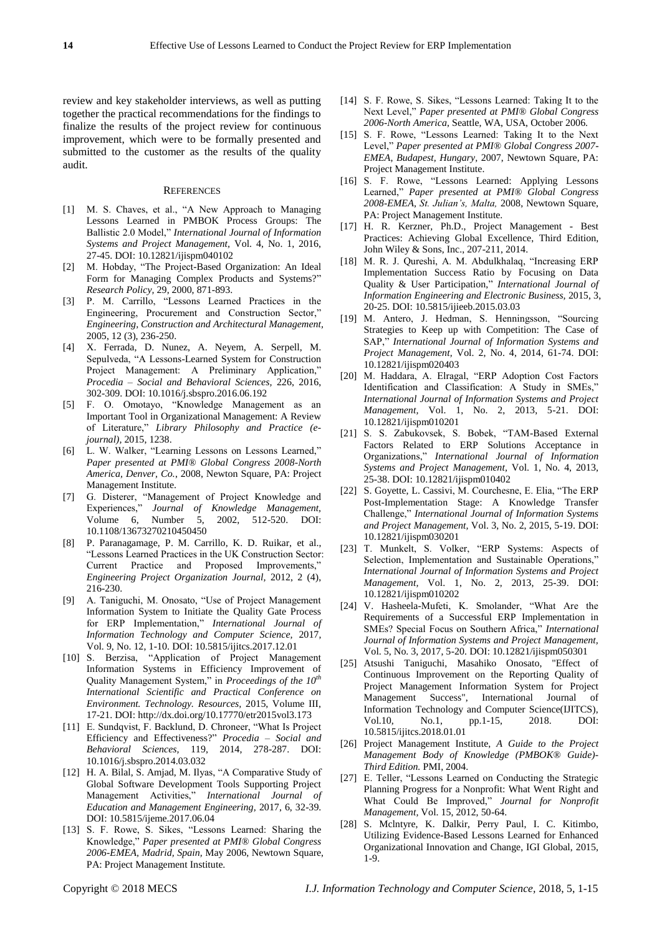review and key stakeholder interviews, as well as putting together the practical recommendations for the findings to finalize the results of the project review for continuous improvement, which were to be formally presented and submitted to the customer as the results of the quality audit.

#### **REFERENCES**

- [1] M. S. Chaves, et al., "A New Approach to Managing Lessons Learned in PMBOK Process Groups: The Ballistic 2.0 Model," *International Journal of Information Systems and Project Management,* Vol. 4, No. 1, 2016, 27-45. DOI: 10.12821/ijispm040102
- [2] M. Hobday, "The Project-Based Organization: An Ideal Form for Managing Complex Products and Systems?" *Research Policy,* 29, 2000, 871-893.
- [3] P. M. Carrillo, "Lessons Learned Practices in the Engineering, Procurement and Construction Sector," *Engineering, Construction and Architectural Management,* 2005, 12 (3), 236-250.
- [4] X. Ferrada, D. Nunez, A. Neyem, A. Serpell, M. Sepulveda, "A Lessons-Learned System for Construction Project Management: A Preliminary Application," *Procedia – Social and Behavioral Sciences,* 226, 2016, 302-309. DOI: 10.1016/j.sbspro.2016.06.192
- [5] F. O. Omotayo, "Knowledge Management as an Important Tool in Organizational Management: A Review of Literature," *Library Philosophy and Practice (ejournal),* 2015, 1238.
- [6] L. W. Walker, "Learning Lessons on Lessons Learned," *Paper presented at PMI® Global Congress 2008-North America, Denver, Co.*, 2008, Newton Square, PA: Project Management Institute.
- [7] G. Disterer, "Management of Project Knowledge and Experiences," *Journal of Knowledge Management,*  Experiences, *Journal of Knowledge Management*,<br>Volume 6, Number 5, 2002, 512-520. DOI: 10.1108/13673270210450450
- [8] P. Paranagamage, P. M. Carrillo, K. D. Ruikar, et al., "Lessons Learned Practices in the UK Construction Sector: Current Practice and Proposed Improvements," *Engineering Project Organization Journal,* 2012, 2 (4), 216-230.
- [9] A. Taniguchi, M. Onosato, "Use of Project Management Information System to Initiate the Quality Gate Process for ERP Implementation," *International Journal of Information Technology and Computer Science,* 2017, Vol. 9, No. 12, 1-10. DOI: 10.5815/ijitcs.2017.12.01
- [10] S. Berzisa, "Application of Project Management Information Systems in Efficiency Improvement of Quality Management System," in *Proceedings of the 10th International Scientific and Practical Conference on Environment. Technology. Resources,* 2015, Volume III, 17-21. DOI: <http://dx.doi.org/10.17770/etr2015vol3.173>
- [11] E. Sundqvist, F. Backlund, D. Chroneer, "What Is Project Efficiency and Effectiveness?" *Procedia – Social and Behavioral Sciences,* 119, 2014, 278-287. DOI: 10.1016/j.sbspro.2014.03.032
- [12] H. A. Bilal, S. Amjad, M. Ilyas, "A Comparative Study of Global Software Development Tools Supporting Project Management Activities," *International Journal of Education and Management Engineering,* 2017, 6, 32-39. DOI: 10.5815/ijeme.2017.06.04
- [13] S. F. Rowe, S. Sikes, "Lessons Learned: Sharing the Knowledge," *Paper presented at PMI® Global Congress 2006-EMEA, Madrid, Spain,* May 2006, Newtown Square, PA: Project Management Institute.
- [14] S. F. Rowe, S. Sikes, "Lessons Learned: Taking It to the Next Level," *Paper presented at PMI® Global Congress 2006-North America*, Seattle, WA, USA, October 2006.
- [15] S. F. Rowe, "Lessons Learned: Taking It to the Next Level," *Paper presented at PMI® Global Congress 2007- EMEA*, *Budapest, Hungary,* 2007, Newtown Square, PA: Project Management Institute.
- [16] S. F. Rowe, "Lessons Learned: Applying Lessons Learned," *Paper presented at PMI® Global Congress 2008-EMEA*, *St. Julian's, Malta,* 2008, Newtown Square, PA: Project Management Institute.
- [17] H. R. Kerzner, Ph.D., Project Management Best Practices: Achieving Global Excellence, Third Edition, John Wiley & Sons, Inc., 207-211, 2014.
- [18] M. R. J. Qureshi, A. M. Abdulkhalaq, "Increasing ERP Implementation Success Ratio by Focusing on Data Quality & User Participation," *International Journal of Information Engineering and Electronic Business,* 2015, 3, 20-25. DOI: 10.5815/ijieeb.2015.03.03
- [19] M. Antero, J. Hedman, S. Henningsson, "Sourcing Strategies to Keep up with Competition: The Case of SAP," *International Journal of Information Systems and Project Management,* Vol. 2, No. 4, 2014, 61-74. DOI: 10.12821/ijispm020403
- [20] M. Haddara, A. Elragal, "ERP Adoption Cost Factors Identification and Classification: A Study in SMEs," *International Journal of Information Systems and Project Management,* Vol. 1, No. 2, 2013, 5-21. DOI: 10.12821/ijispm010201
- [21] S. S. Zabukovsek, S. Bobek, "TAM-Based External Factors Related to ERP Solutions Acceptance in Organizations," *International Journal of Information Systems and Project Management,* Vol. 1, No. 4, 2013, 25-38. DOI: 10.12821/ijispm010402
- [22] S. Goyette, L. Cassivi, M. Courchesne, E. Elia, "The ERP Post-Implementation Stage: A Knowledge Transfer Challenge," *International Journal of Information Systems and Project Management,* Vol. 3, No. 2, 2015, 5-19. DOI: 10.12821/ijispm030201
- [23] T. Munkelt, S. Volker, "ERP Systems: Aspects of Selection, Implementation and Sustainable Operations," *International Journal of Information Systems and Project Management,* Vol. 1, No. 2, 2013, 25-39. DOI: 10.12821/ijispm010202
- [24] V. Hasheela-Mufeti, K. Smolander, "What Are the Requirements of a Successful ERP Implementation in SMEs? Special Focus on Southern Africa," *International Journal of Information Systems and Project Management,* Vol. 5, No. 3, 2017, 5-20. DOI: 10.12821/ijispm050301
- [25] Atsushi Taniguchi, Masahiko Onosato, "Effect of Continuous Improvement on the Reporting Quality of Project Management Information System for Project Management Success", International Journal of Information Technology and Computer Science(IJITCS), Vol.10, No.1, pp.1-15, 2018. DOI: 10.5815/ijitcs.2018.01.01
- [26] Project Management Institute, *A Guide to the Project Management Body of Knowledge (PMBOK® Guide)- Third Edition.* PMI, 2004.
- [27] E. Teller, "Lessons Learned on Conducting the Strategic Planning Progress for a Nonprofit: What Went Right and What Could Be Improved," *Journal for Nonprofit Management,* Vol. 15, 2012, 50-64.
- [28] S. Mclntyre, K. Dalkir, Perry Paul, I. C. Kitimbo, Utilizing Evidence-Based Lessons Learned for Enhanced Organizational Innovation and Change, IGI Global, 2015, 1-9.